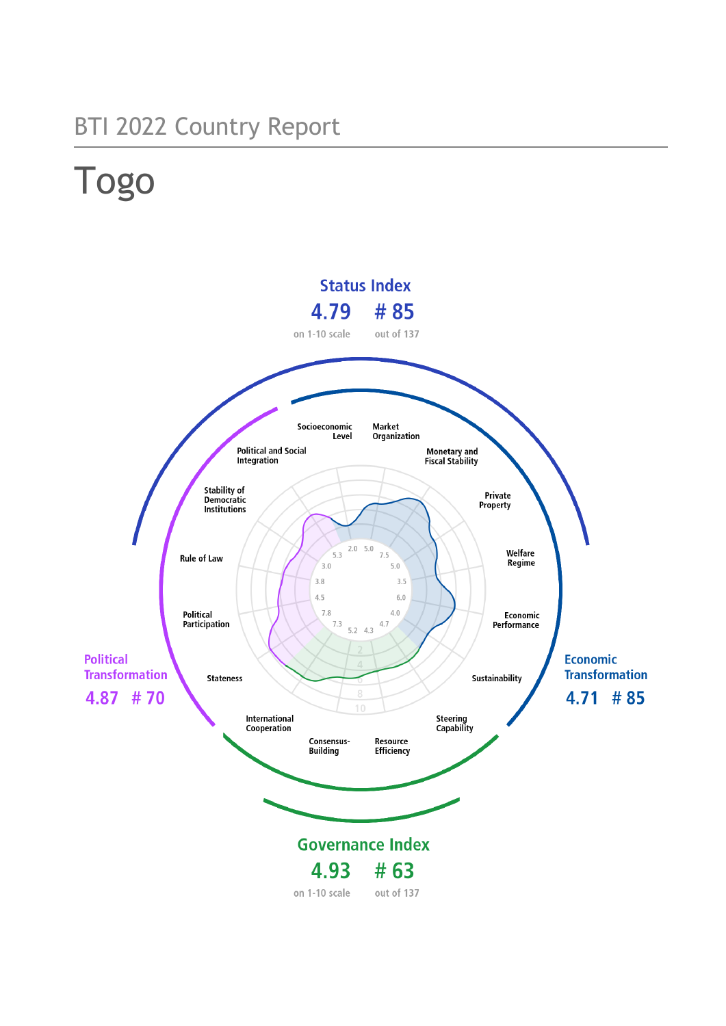## BTI 2022 Country Report

# Togo

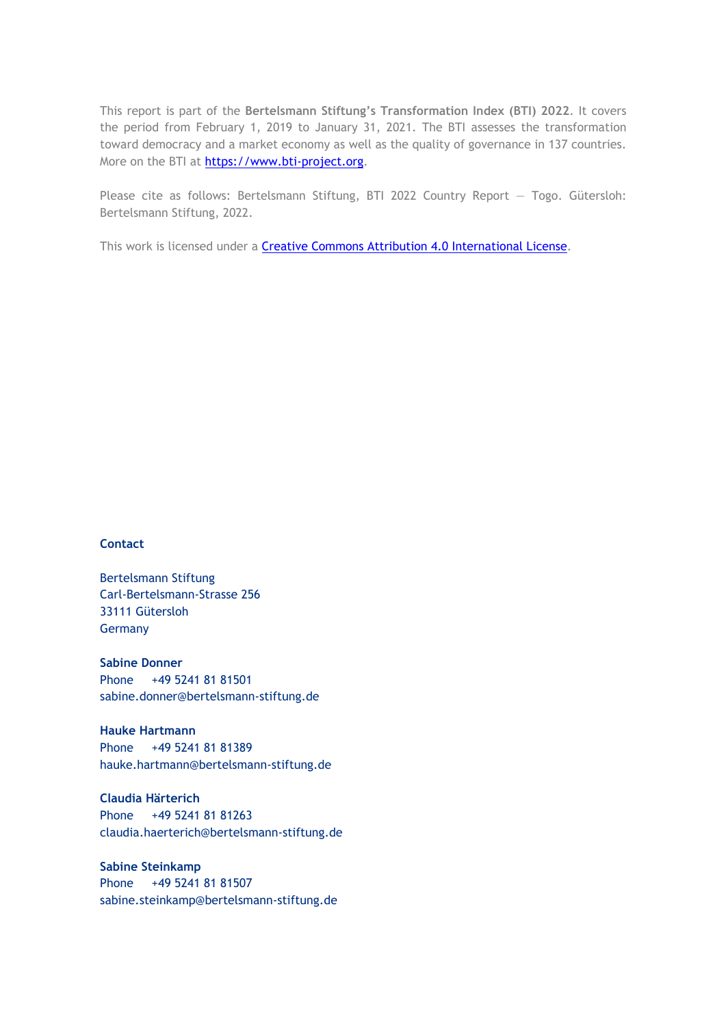This report is part of the **Bertelsmann Stiftung's Transformation Index (BTI) 2022**. It covers the period from February 1, 2019 to January 31, 2021. The BTI assesses the transformation toward democracy and a market economy as well as the quality of governance in 137 countries. More on the BTI at [https://www.bti-project.org.](https://www.bti-project.org/)

Please cite as follows: Bertelsmann Stiftung, BTI 2022 Country Report — Togo. Gütersloh: Bertelsmann Stiftung, 2022.

This work is licensed under a **Creative Commons Attribution 4.0 International License**.

#### **Contact**

Bertelsmann Stiftung Carl-Bertelsmann-Strasse 256 33111 Gütersloh **Germany** 

**Sabine Donner** Phone +49 5241 81 81501 sabine.donner@bertelsmann-stiftung.de

**Hauke Hartmann** Phone +49 5241 81 81389 hauke.hartmann@bertelsmann-stiftung.de

**Claudia Härterich** Phone +49 5241 81 81263 claudia.haerterich@bertelsmann-stiftung.de

#### **Sabine Steinkamp** Phone +49 5241 81 81507 sabine.steinkamp@bertelsmann-stiftung.de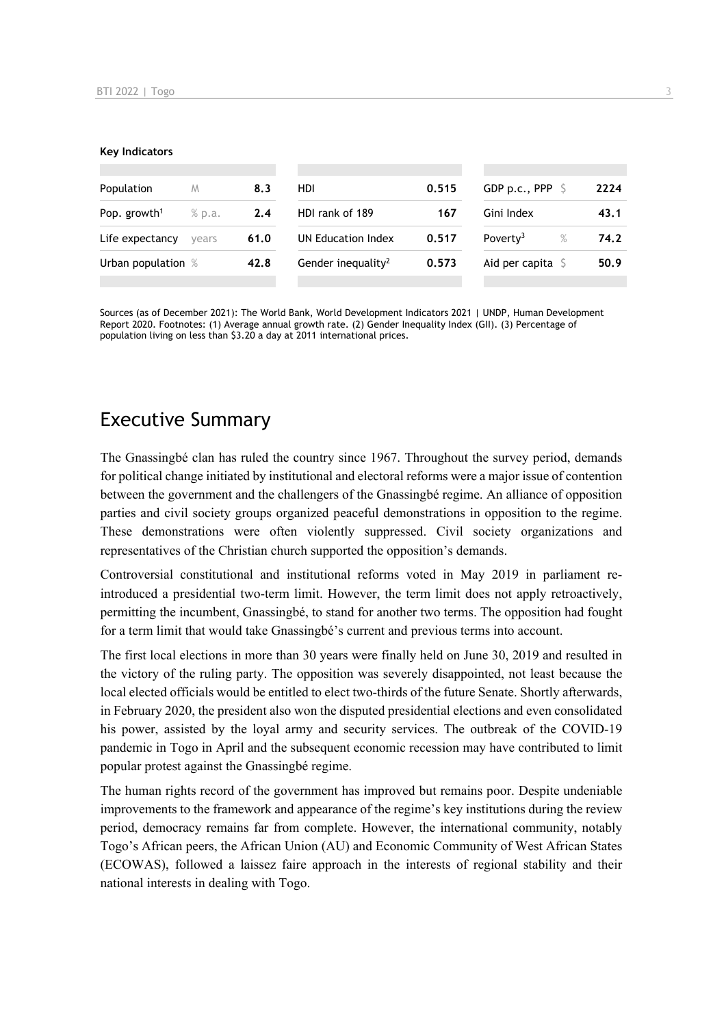#### **Key Indicators**

| Population               | M      | 8.3  | HDI                            | 0.515 | GDP p.c., PPP $\ S$          | 2224 |
|--------------------------|--------|------|--------------------------------|-------|------------------------------|------|
| Pop. growth <sup>1</sup> | % p.a. | 2.4  | HDI rank of 189                | 167   | Gini Index                   | 43.1 |
| Life expectancy          | vears  | 61.0 | UN Education Index             | 0.517 | Poverty <sup>3</sup><br>$\%$ | 74.2 |
| Urban population %       |        | 42.8 | Gender inequality <sup>2</sup> | 0.573 | Aid per capita $\mathsf S$   | 50.9 |
|                          |        |      |                                |       |                              |      |

Sources (as of December 2021): The World Bank, World Development Indicators 2021 | UNDP, Human Development Report 2020. Footnotes: (1) Average annual growth rate. (2) Gender Inequality Index (GII). (3) Percentage of population living on less than \$3.20 a day at 2011 international prices.

## Executive Summary

The Gnassingbé clan has ruled the country since 1967. Throughout the survey period, demands for political change initiated by institutional and electoral reforms were a major issue of contention between the government and the challengers of the Gnassingbé regime. An alliance of opposition parties and civil society groups organized peaceful demonstrations in opposition to the regime. These demonstrations were often violently suppressed. Civil society organizations and representatives of the Christian church supported the opposition's demands.

Controversial constitutional and institutional reforms voted in May 2019 in parliament reintroduced a presidential two-term limit. However, the term limit does not apply retroactively, permitting the incumbent, Gnassingbé, to stand for another two terms. The opposition had fought for a term limit that would take Gnassingbé's current and previous terms into account.

The first local elections in more than 30 years were finally held on June 30, 2019 and resulted in the victory of the ruling party. The opposition was severely disappointed, not least because the local elected officials would be entitled to elect two-thirds of the future Senate. Shortly afterwards, in February 2020, the president also won the disputed presidential elections and even consolidated his power, assisted by the loyal army and security services. The outbreak of the COVID-19 pandemic in Togo in April and the subsequent economic recession may have contributed to limit popular protest against the Gnassingbé regime.

The human rights record of the government has improved but remains poor. Despite undeniable improvements to the framework and appearance of the regime's key institutions during the review period, democracy remains far from complete. However, the international community, notably Togo's African peers, the African Union (AU) and Economic Community of West African States (ECOWAS), followed a laissez faire approach in the interests of regional stability and their national interests in dealing with Togo.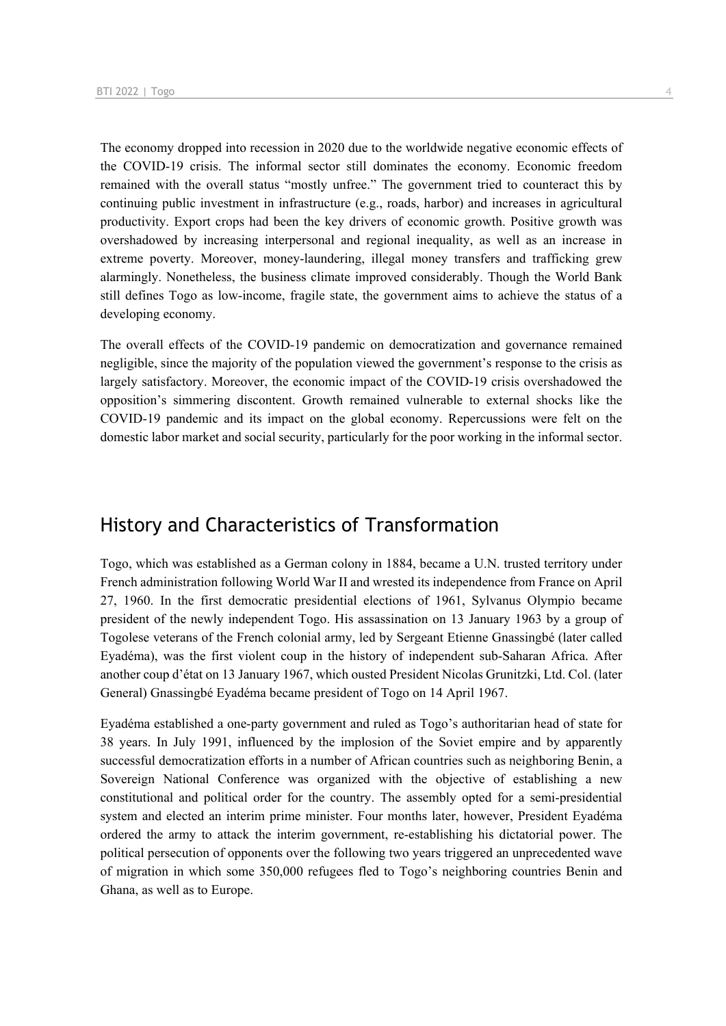The economy dropped into recession in 2020 due to the worldwide negative economic effects of the COVID-19 crisis. The informal sector still dominates the economy. Economic freedom remained with the overall status "mostly unfree." The government tried to counteract this by continuing public investment in infrastructure (e.g., roads, harbor) and increases in agricultural productivity. Export crops had been the key drivers of economic growth. Positive growth was overshadowed by increasing interpersonal and regional inequality, as well as an increase in extreme poverty. Moreover, money-laundering, illegal money transfers and trafficking grew alarmingly. Nonetheless, the business climate improved considerably. Though the World Bank still defines Togo as low-income, fragile state, the government aims to achieve the status of a developing economy.

The overall effects of the COVID-19 pandemic on democratization and governance remained negligible, since the majority of the population viewed the government's response to the crisis as largely satisfactory. Moreover, the economic impact of the COVID-19 crisis overshadowed the opposition's simmering discontent. Growth remained vulnerable to external shocks like the COVID-19 pandemic and its impact on the global economy. Repercussions were felt on the domestic labor market and social security, particularly for the poor working in the informal sector.

## History and Characteristics of Transformation

Togo, which was established as a German colony in 1884, became a U.N. trusted territory under French administration following World War II and wrested its independence from France on April 27, 1960. In the first democratic presidential elections of 1961, Sylvanus Olympio became president of the newly independent Togo. His assassination on 13 January 1963 by a group of Togolese veterans of the French colonial army, led by Sergeant Etienne Gnassingbé (later called Eyadéma), was the first violent coup in the history of independent sub-Saharan Africa. After another coup d'état on 13 January 1967, which ousted President Nicolas Grunitzki, Ltd. Col. (later General) Gnassingbé Eyadéma became president of Togo on 14 April 1967.

Eyadéma established a one-party government and ruled as Togo's authoritarian head of state for 38 years. In July 1991, influenced by the implosion of the Soviet empire and by apparently successful democratization efforts in a number of African countries such as neighboring Benin, a Sovereign National Conference was organized with the objective of establishing a new constitutional and political order for the country. The assembly opted for a semi-presidential system and elected an interim prime minister. Four months later, however, President Eyadéma ordered the army to attack the interim government, re-establishing his dictatorial power. The political persecution of opponents over the following two years triggered an unprecedented wave of migration in which some 350,000 refugees fled to Togo's neighboring countries Benin and Ghana, as well as to Europe.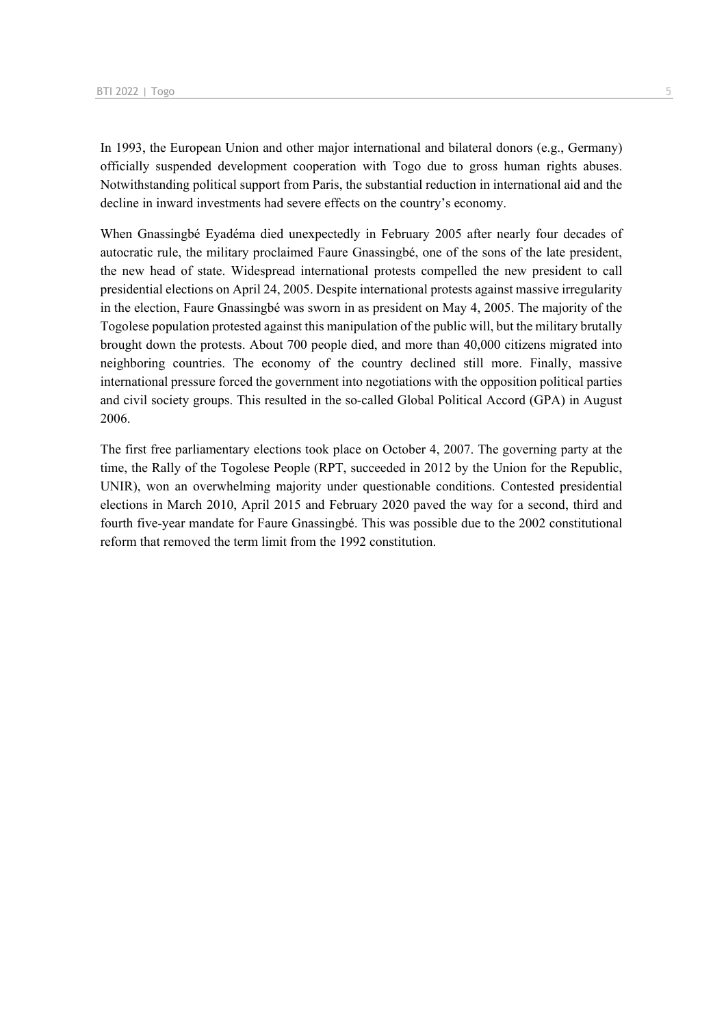In 1993, the European Union and other major international and bilateral donors (e.g., Germany) officially suspended development cooperation with Togo due to gross human rights abuses. Notwithstanding political support from Paris, the substantial reduction in international aid and the decline in inward investments had severe effects on the country's economy.

When Gnassingbé Eyadéma died unexpectedly in February 2005 after nearly four decades of autocratic rule, the military proclaimed Faure Gnassingbé, one of the sons of the late president, the new head of state. Widespread international protests compelled the new president to call presidential elections on April 24, 2005. Despite international protests against massive irregularity in the election, Faure Gnassingbé was sworn in as president on May 4, 2005. The majority of the Togolese population protested against this manipulation of the public will, but the military brutally brought down the protests. About 700 people died, and more than 40,000 citizens migrated into neighboring countries. The economy of the country declined still more. Finally, massive international pressure forced the government into negotiations with the opposition political parties and civil society groups. This resulted in the so-called Global Political Accord (GPA) in August 2006.

The first free parliamentary elections took place on October 4, 2007. The governing party at the time, the Rally of the Togolese People (RPT, succeeded in 2012 by the Union for the Republic, UNIR), won an overwhelming majority under questionable conditions. Contested presidential elections in March 2010, April 2015 and February 2020 paved the way for a second, third and fourth five-year mandate for Faure Gnassingbé. This was possible due to the 2002 constitutional reform that removed the term limit from the 1992 constitution.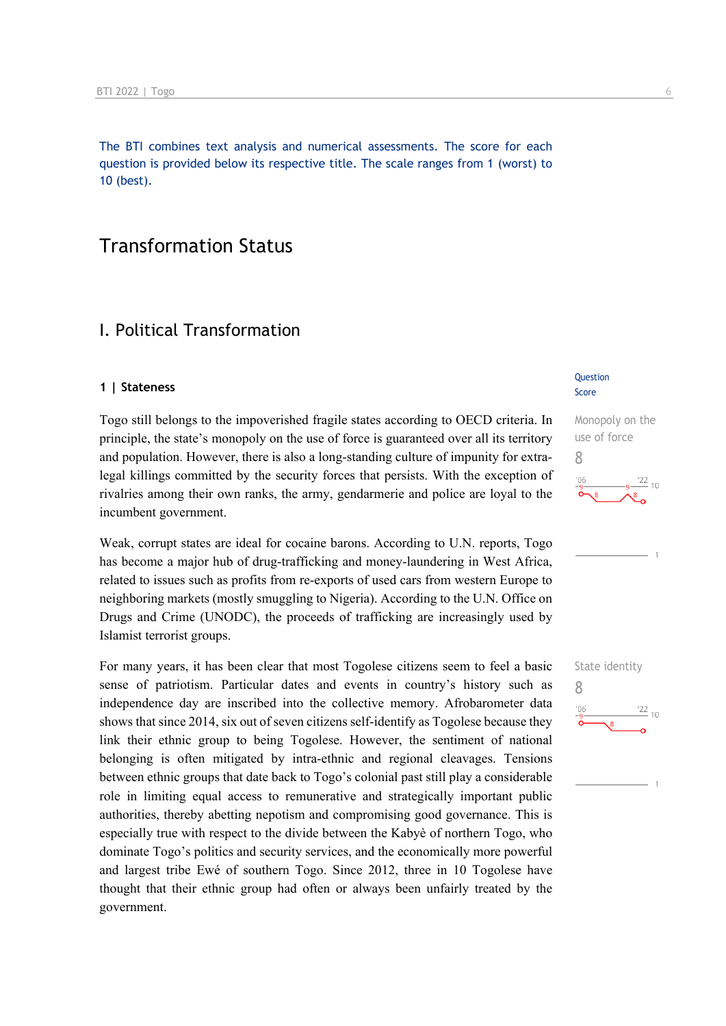The BTI combines text analysis and numerical assessments. The score for each question is provided below its respective title. The scale ranges from 1 (worst) to 10 (best).

## Transformation Status

## I. Political Transformation

#### **1 | Stateness**

Togo still belongs to the impoverished fragile states according to OECD criteria. In principle, the state's monopoly on the use of force is guaranteed over all its territory and population. However, there is also a long-standing culture of impunity for extralegal killings committed by the security forces that persists. With the exception of rivalries among their own ranks, the army, gendarmerie and police are loyal to the incumbent government.

Weak, corrupt states are ideal for cocaine barons. According to U.N. reports, Togo has become a major hub of drug-trafficking and money-laundering in West Africa, related to issues such as profits from re-exports of used cars from western Europe to neighboring markets (mostly smuggling to Nigeria). According to the U.N. Office on Drugs and Crime (UNODC), the proceeds of trafficking are increasingly used by Islamist terrorist groups.

For many years, it has been clear that most Togolese citizens seem to feel a basic sense of patriotism. Particular dates and events in country's history such as independence day are inscribed into the collective memory. Afrobarometer data shows that since 2014, six out of seven citizens self-identify as Togolese because they link their ethnic group to being Togolese. However, the sentiment of national belonging is often mitigated by intra-ethnic and regional cleavages. Tensions between ethnic groups that date back to Togo's colonial past still play a considerable role in limiting equal access to remunerative and strategically important public authorities, thereby abetting nepotism and compromising good governance. This is especially true with respect to the divide between the Kabyè of northern Togo, who dominate Togo's politics and security services, and the economically more powerful and largest tribe Ewé of southern Togo. Since 2012, three in 10 Togolese have thought that their ethnic group had often or always been unfairly treated by the government.

#### Question Score

## Monopoly on the use of force 8  $10$

State identity 8 $^{\prime}06$  $\frac{22}{10}$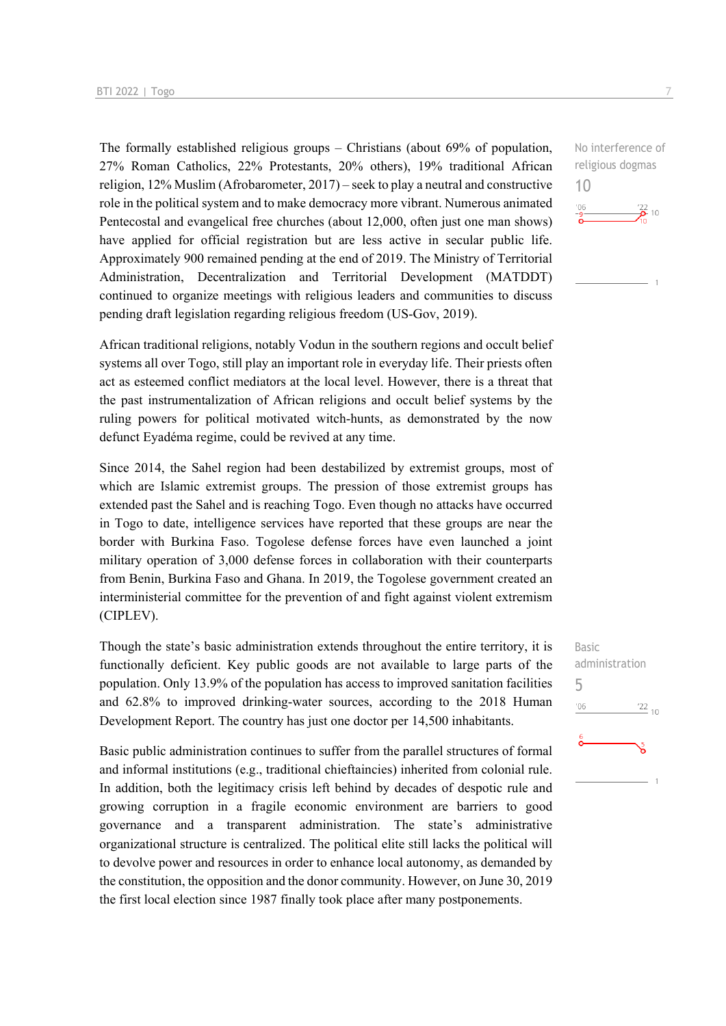The formally established religious groups – Christians (about 69% of population, 27% Roman Catholics, 22% Protestants, 20% others), 19% traditional African religion, 12% Muslim (Afrobarometer, 2017) – seek to play a neutral and constructive role in the political system and to make democracy more vibrant. Numerous animated Pentecostal and evangelical free churches (about 12,000, often just one man shows) have applied for official registration but are less active in secular public life. Approximately 900 remained pending at the end of 2019. The Ministry of Territorial Administration, Decentralization and Territorial Development (MATDDT) continued to organize meetings with religious leaders and communities to discuss pending draft legislation regarding religious freedom (US-Gov, 2019).

African traditional religions, notably Vodun in the southern regions and occult belief systems all over Togo, still play an important role in everyday life. Their priests often act as esteemed conflict mediators at the local level. However, there is a threat that the past instrumentalization of African religions and occult belief systems by the ruling powers for political motivated witch-hunts, as demonstrated by the now defunct Eyadéma regime, could be revived at any time.

Since 2014, the Sahel region had been destabilized by extremist groups, most of which are Islamic extremist groups. The pression of those extremist groups has extended past the Sahel and is reaching Togo. Even though no attacks have occurred in Togo to date, intelligence services have reported that these groups are near the border with Burkina Faso. Togolese defense forces have even launched a joint military operation of 3,000 defense forces in collaboration with their counterparts from Benin, Burkina Faso and Ghana. In 2019, the Togolese government created an interministerial committee for the prevention of and fight against violent extremism (CIPLEV).

Though the state's basic administration extends throughout the entire territory, it is functionally deficient. Key public goods are not available to large parts of the population. Only 13.9% of the population has access to improved sanitation facilities and 62.8% to improved drinking-water sources, according to the 2018 Human Development Report. The country has just one doctor per 14,500 inhabitants.

Basic public administration continues to suffer from the parallel structures of formal and informal institutions (e.g., traditional chieftaincies) inherited from colonial rule. In addition, both the legitimacy crisis left behind by decades of despotic rule and growing corruption in a fragile economic environment are barriers to good governance and a transparent administration. The state's administrative organizational structure is centralized. The political elite still lacks the political will to devolve power and resources in order to enhance local autonomy, as demanded by the constitution, the opposition and the donor community. However, on June 30, 2019 the first local election since 1987 finally took place after many postponements.

No interference of religious dogmas



10

Basic administration 5 $106$  $\frac{22}{10}$ နိ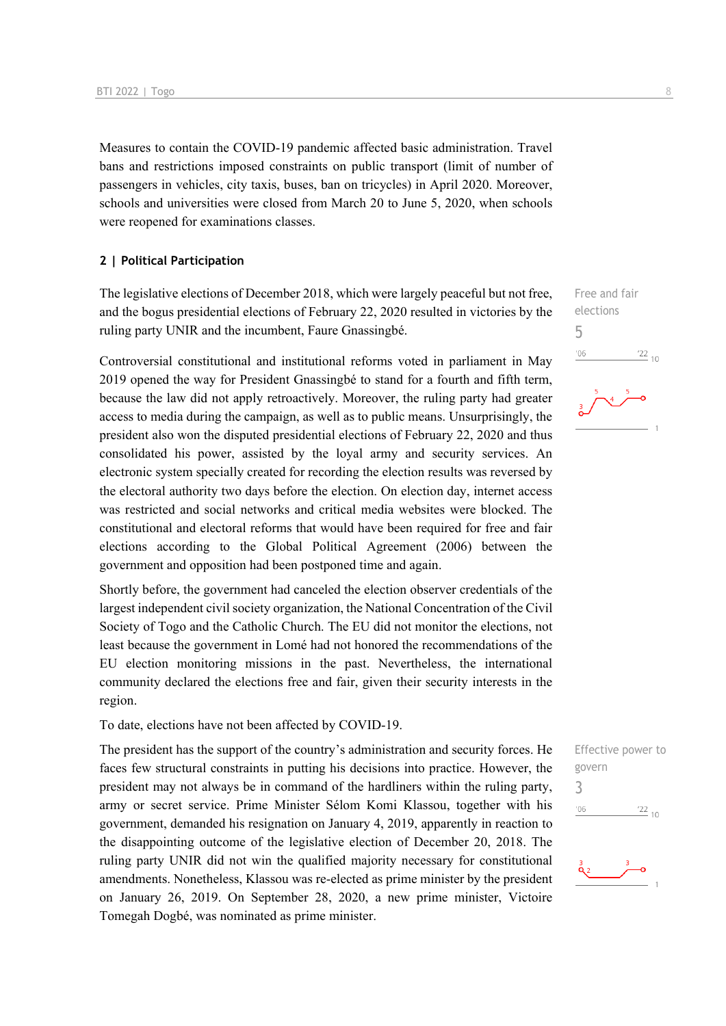Measures to contain the COVID-19 pandemic affected basic administration. Travel bans and restrictions imposed constraints on public transport (limit of number of passengers in vehicles, city taxis, buses, ban on tricycles) in April 2020. Moreover, schools and universities were closed from March 20 to June 5, 2020, when schools were reopened for examinations classes.

#### **2 | Political Participation**

The legislative elections of December 2018, which were largely peaceful but not free, and the bogus presidential elections of February 22, 2020 resulted in victories by the ruling party UNIR and the incumbent, Faure Gnassingbé.

Controversial constitutional and institutional reforms voted in parliament in May 2019 opened the way for President Gnassingbé to stand for a fourth and fifth term, because the law did not apply retroactively. Moreover, the ruling party had greater access to media during the campaign, as well as to public means. Unsurprisingly, the president also won the disputed presidential elections of February 22, 2020 and thus consolidated his power, assisted by the loyal army and security services. An electronic system specially created for recording the election results was reversed by the electoral authority two days before the election. On election day, internet access was restricted and social networks and critical media websites were blocked. The constitutional and electoral reforms that would have been required for free and fair elections according to the Global Political Agreement (2006) between the government and opposition had been postponed time and again.

Shortly before, the government had canceled the election observer credentials of the largest independent civil society organization, the National Concentration of the Civil Society of Togo and the Catholic Church. The EU did not monitor the elections, not least because the government in Lomé had not honored the recommendations of the EU election monitoring missions in the past. Nevertheless, the international community declared the elections free and fair, given their security interests in the region.

To date, elections have not been affected by COVID-19.

The president has the support of the country's administration and security forces. He faces few structural constraints in putting his decisions into practice. However, the president may not always be in command of the hardliners within the ruling party, army or secret service. Prime Minister Sélom Komi Klassou, together with his government, demanded his resignation on January 4, 2019, apparently in reaction to the disappointing outcome of the legislative election of December 20, 2018. The ruling party UNIR did not win the qualified majority necessary for constitutional amendments. Nonetheless, Klassou was re-elected as prime minister by the president on January 26, 2019. On September 28, 2020, a new prime minister, Victoire Tomegah Dogbé, was nominated as prime minister.

Free and fair elections 5  $-06$  $^{22}$  10

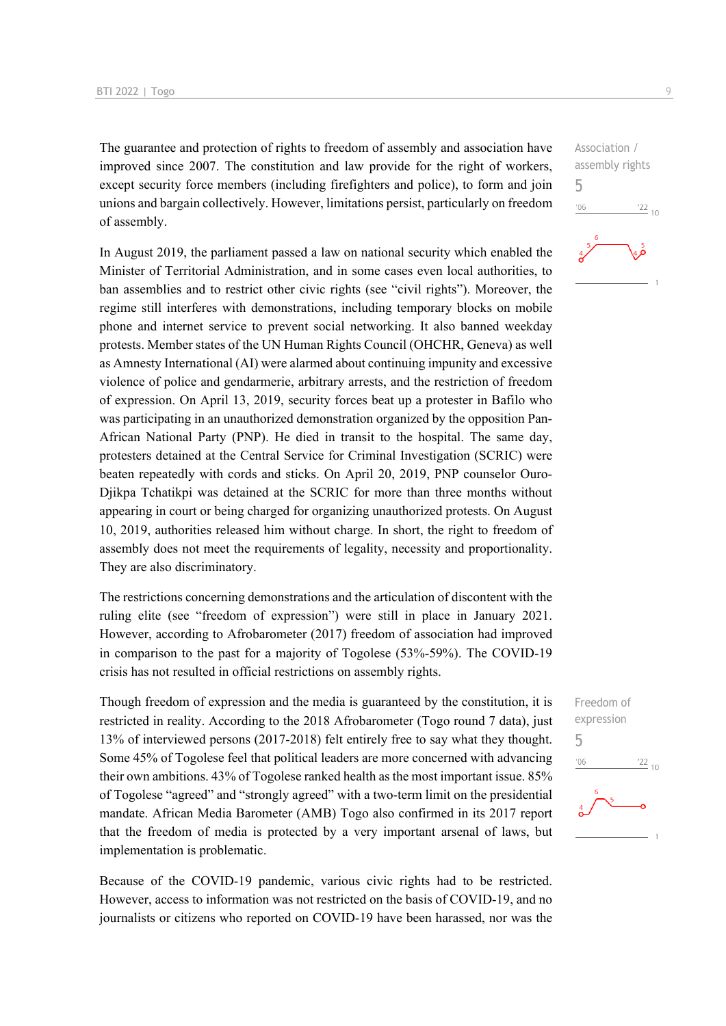The guarantee and protection of rights to freedom of assembly and association have improved since 2007. The constitution and law provide for the right of workers, except security force members (including firefighters and police), to form and join unions and bargain collectively. However, limitations persist, particularly on freedom of assembly.

In August 2019, the parliament passed a law on national security which enabled the Minister of Territorial Administration, and in some cases even local authorities, to ban assemblies and to restrict other civic rights (see "civil rights"). Moreover, the regime still interferes with demonstrations, including temporary blocks on mobile phone and internet service to prevent social networking. It also banned weekday protests. Member states of the UN Human Rights Council (OHCHR, Geneva) as well as Amnesty International (AI) were alarmed about continuing impunity and excessive violence of police and gendarmerie, arbitrary arrests, and the restriction of freedom of expression. On April 13, 2019, security forces beat up a protester in Bafilo who was participating in an unauthorized demonstration organized by the opposition Pan-African National Party (PNP). He died in transit to the hospital. The same day, protesters detained at the Central Service for Criminal Investigation (SCRIC) were beaten repeatedly with cords and sticks. On April 20, 2019, PNP counselor Ouro-Djikpa Tchatikpi was detained at the SCRIC for more than three months without appearing in court or being charged for organizing unauthorized protests. On August 10, 2019, authorities released him without charge. In short, the right to freedom of assembly does not meet the requirements of legality, necessity and proportionality. They are also discriminatory.

The restrictions concerning demonstrations and the articulation of discontent with the ruling elite (see "freedom of expression") were still in place in January 2021. However, according to Afrobarometer (2017) freedom of association had improved in comparison to the past for a majority of Togolese (53%-59%). The COVID-19 crisis has not resulted in official restrictions on assembly rights.

Though freedom of expression and the media is guaranteed by the constitution, it is restricted in reality. According to the 2018 Afrobarometer (Togo round 7 data), just 13% of interviewed persons (2017-2018) felt entirely free to say what they thought. Some 45% of Togolese feel that political leaders are more concerned with advancing their own ambitions. 43% of Togolese ranked health as the most important issue. 85% of Togolese "agreed" and "strongly agreed" with a two-term limit on the presidential mandate. African Media Barometer (AMB) Togo also confirmed in its 2017 report that the freedom of media is protected by a very important arsenal of laws, but implementation is problematic.

Because of the COVID-19 pandemic, various civic rights had to be restricted. However, access to information was not restricted on the basis of COVID-19, and no journalists or citizens who reported on COVID-19 have been harassed, nor was the Association / assembly rights 5  $^{\prime}06$  $\frac{22}{10}$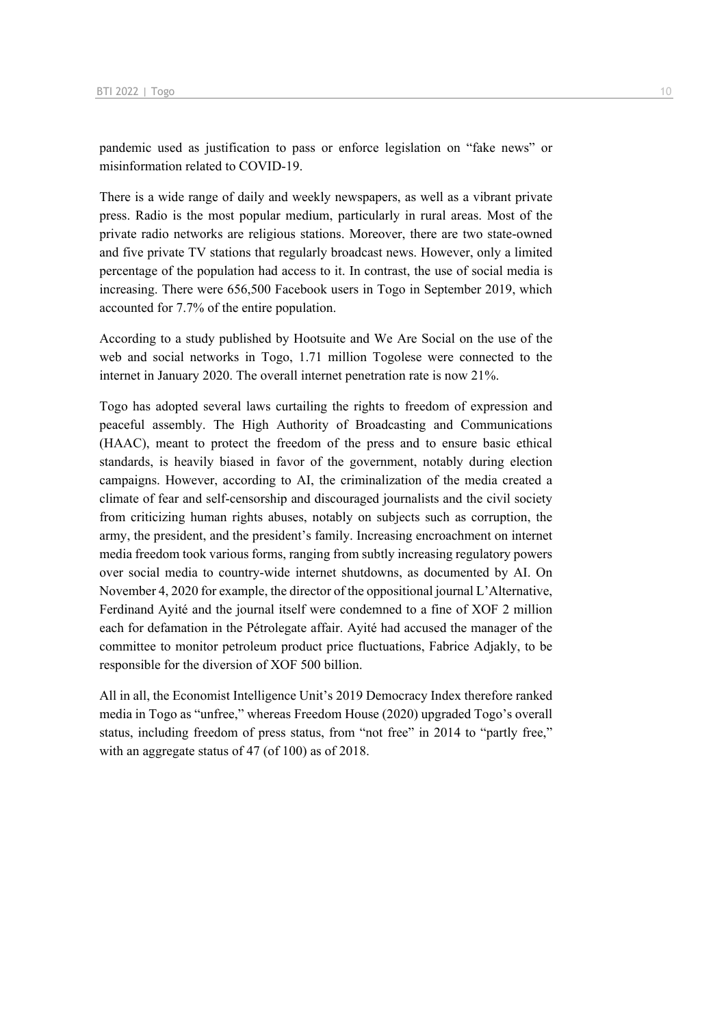pandemic used as justification to pass or enforce legislation on "fake news" or misinformation related to COVID-19.

There is a wide range of daily and weekly newspapers, as well as a vibrant private press. Radio is the most popular medium, particularly in rural areas. Most of the private radio networks are religious stations. Moreover, there are two state-owned and five private TV stations that regularly broadcast news. However, only a limited percentage of the population had access to it. In contrast, the use of social media is increasing. There were 656,500 Facebook users in Togo in September 2019, which accounted for 7.7% of the entire population.

According to a study published by Hootsuite and We Are Social on the use of the web and social networks in Togo, 1.71 million Togolese were connected to the internet in January 2020. The overall internet penetration rate is now 21%.

Togo has adopted several laws curtailing the rights to freedom of expression and peaceful assembly. The High Authority of Broadcasting and Communications (HAAC), meant to protect the freedom of the press and to ensure basic ethical standards, is heavily biased in favor of the government, notably during election campaigns. However, according to AI, the criminalization of the media created a climate of fear and self-censorship and discouraged journalists and the civil society from criticizing human rights abuses, notably on subjects such as corruption, the army, the president, and the president's family. Increasing encroachment on internet media freedom took various forms, ranging from subtly increasing regulatory powers over social media to country-wide internet shutdowns, as documented by AI. On November 4, 2020 for example, the director of the oppositional journal L'Alternative, Ferdinand Ayité and the journal itself were condemned to a fine of XOF 2 million each for defamation in the Pétrolegate affair. Ayité had accused the manager of the committee to monitor petroleum product price fluctuations, Fabrice Adjakly, to be responsible for the diversion of XOF 500 billion.

All in all, the Economist Intelligence Unit's 2019 Democracy Index therefore ranked media in Togo as "unfree," whereas Freedom House (2020) upgraded Togo's overall status, including freedom of press status, from "not free" in 2014 to "partly free," with an aggregate status of 47 (of 100) as of 2018.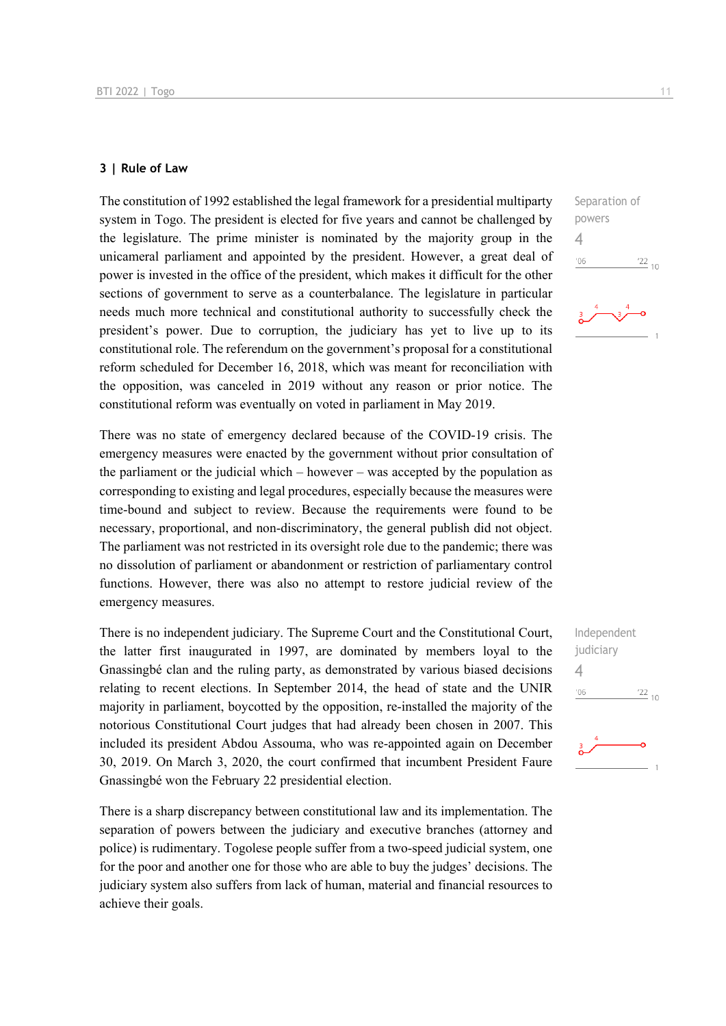#### **3 | Rule of Law**

The constitution of 1992 established the legal framework for a presidential multiparty system in Togo. The president is elected for five years and cannot be challenged by the legislature. The prime minister is nominated by the majority group in the unicameral parliament and appointed by the president. However, a great deal of power is invested in the office of the president, which makes it difficult for the other sections of government to serve as a counterbalance. The legislature in particular needs much more technical and constitutional authority to successfully check the president's power. Due to corruption, the judiciary has yet to live up to its constitutional role. The referendum on the government's proposal for a constitutional reform scheduled for December 16, 2018, which was meant for reconciliation with the opposition, was canceled in 2019 without any reason or prior notice. The constitutional reform was eventually on voted in parliament in May 2019.

There was no state of emergency declared because of the COVID-19 crisis. The emergency measures were enacted by the government without prior consultation of the parliament or the judicial which – however – was accepted by the population as corresponding to existing and legal procedures, especially because the measures were time-bound and subject to review. Because the requirements were found to be necessary, proportional, and non-discriminatory, the general publish did not object. The parliament was not restricted in its oversight role due to the pandemic; there was no dissolution of parliament or abandonment or restriction of parliamentary control functions. However, there was also no attempt to restore judicial review of the emergency measures.

There is no independent judiciary. The Supreme Court and the Constitutional Court, the latter first inaugurated in 1997, are dominated by members loyal to the Gnassingbé clan and the ruling party, as demonstrated by various biased decisions relating to recent elections. In September 2014, the head of state and the UNIR majority in parliament, boycotted by the opposition, re-installed the majority of the notorious Constitutional Court judges that had already been chosen in 2007. This included its president Abdou Assouma, who was re-appointed again on December 30, 2019. On March 3, 2020, the court confirmed that incumbent President Faure Gnassingbé won the February 22 presidential election.

There is a sharp discrepancy between constitutional law and its implementation. The separation of powers between the judiciary and executive branches (attorney and police) is rudimentary. Togolese people suffer from a two-speed judicial system, one for the poor and another one for those who are able to buy the judges' decisions. The judiciary system also suffers from lack of human, material and financial resources to achieve their goals.



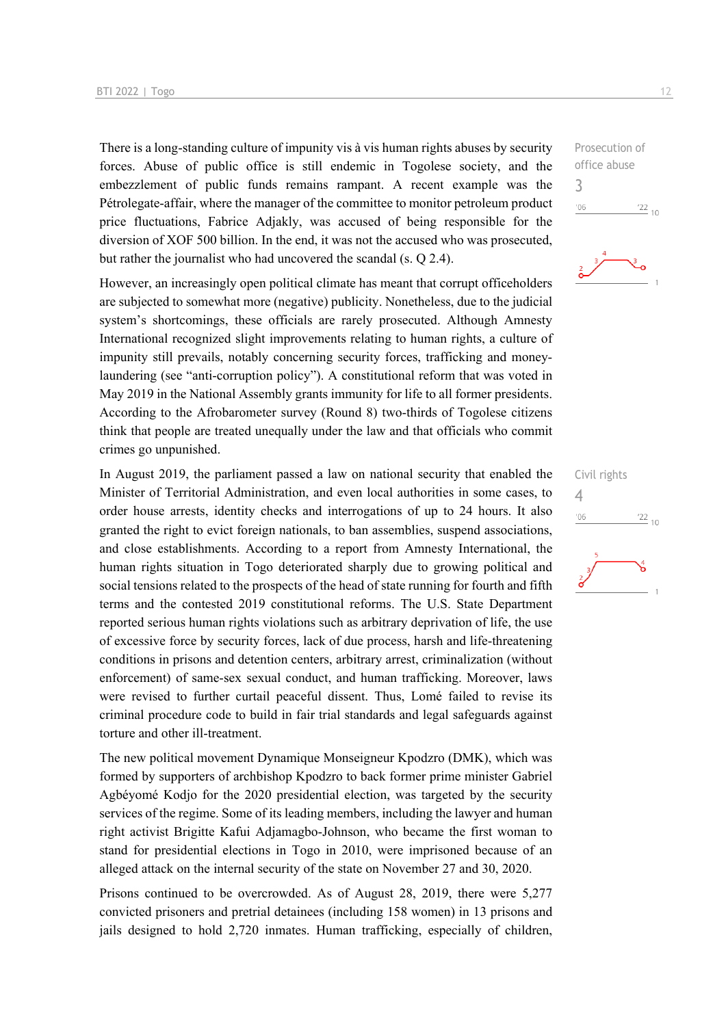There is a long-standing culture of impunity vis à vis human rights abuses by security forces. Abuse of public office is still endemic in Togolese society, and the embezzlement of public funds remains rampant. A recent example was the Pétrolegate-affair, where the manager of the committee to monitor petroleum product price fluctuations, Fabrice Adjakly, was accused of being responsible for the diversion of XOF 500 billion. In the end, it was not the accused who was prosecuted, but rather the journalist who had uncovered the scandal (s. Q 2.4).

However, an increasingly open political climate has meant that corrupt officeholders are subjected to somewhat more (negative) publicity. Nonetheless, due to the judicial system's shortcomings, these officials are rarely prosecuted. Although Amnesty International recognized slight improvements relating to human rights, a culture of impunity still prevails, notably concerning security forces, trafficking and moneylaundering (see "anti-corruption policy"). A constitutional reform that was voted in May 2019 in the National Assembly grants immunity for life to all former presidents. According to the Afrobarometer survey (Round 8) two-thirds of Togolese citizens think that people are treated unequally under the law and that officials who commit crimes go unpunished.

In August 2019, the parliament passed a law on national security that enabled the Minister of Territorial Administration, and even local authorities in some cases, to order house arrests, identity checks and interrogations of up to 24 hours. It also granted the right to evict foreign nationals, to ban assemblies, suspend associations, and close establishments. According to a report from Amnesty International, the human rights situation in Togo deteriorated sharply due to growing political and social tensions related to the prospects of the head of state running for fourth and fifth terms and the contested 2019 constitutional reforms. The U.S. State Department reported serious human rights violations such as arbitrary deprivation of life, the use of excessive force by security forces, lack of due process, harsh and life-threatening conditions in prisons and detention centers, arbitrary arrest, criminalization (without enforcement) of same-sex sexual conduct, and human trafficking. Moreover, laws were revised to further curtail peaceful dissent. Thus, Lomé failed to revise its criminal procedure code to build in fair trial standards and legal safeguards against torture and other ill-treatment.

The new political movement Dynamique Monseigneur Kpodzro (DMK), which was formed by supporters of archbishop Kpodzro to back former prime minister Gabriel Agbéyomé Kodjo for the 2020 presidential election, was targeted by the security services of the regime. Some of its leading members, including the lawyer and human right activist Brigitte Kafui Adjamagbo-Johnson, who became the first woman to stand for presidential elections in Togo in 2010, were imprisoned because of an alleged attack on the internal security of the state on November 27 and 30, 2020.

Prisons continued to be overcrowded. As of August 28, 2019, there were 5,277 convicted prisoners and pretrial detainees (including 158 women) in 13 prisons and jails designed to hold 2,720 inmates. Human trafficking, especially of children,





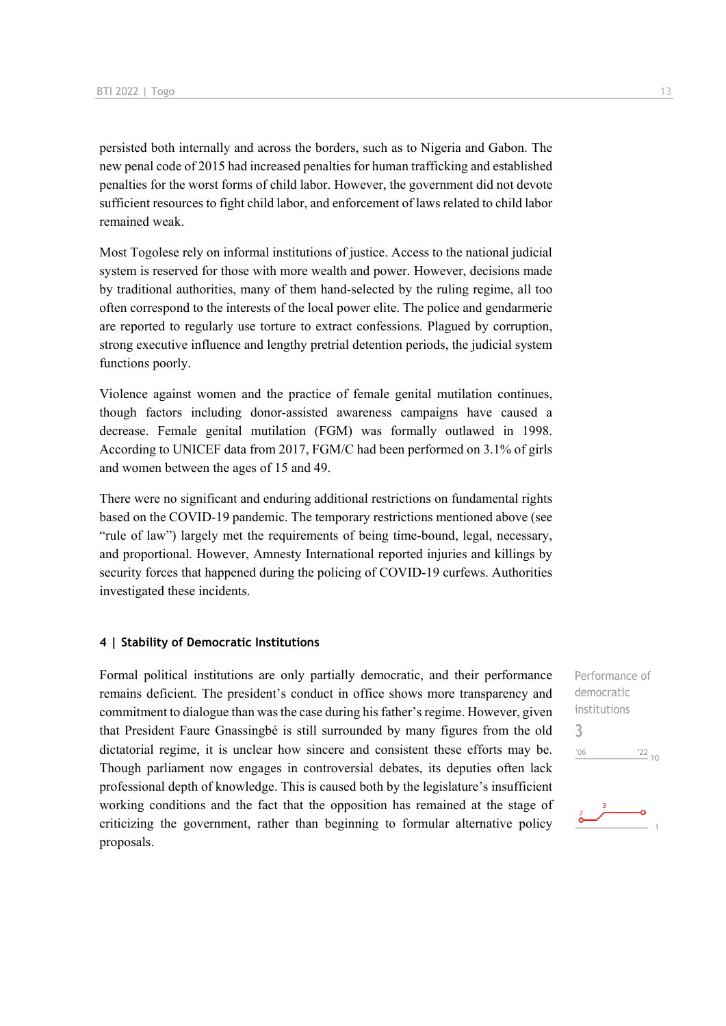persisted both internally and across the borders, such as to Nigeria and Gabon. The new penal code of 2015 had increased penalties for human trafficking and established penalties for the worst forms of child labor. However, the government did not devote sufficient resources to fight child labor, and enforcement of laws related to child labor remained weak.

Most Togolese rely on informal institutions of justice. Access to the national judicial system is reserved for those with more wealth and power. However, decisions made by traditional authorities, many of them hand-selected by the ruling regime, all too often correspond to the interests of the local power elite. The police and gendarmerie are reported to regularly use torture to extract confessions. Plagued by corruption, strong executive influence and lengthy pretrial detention periods, the judicial system functions poorly.

Violence against women and the practice of female genital mutilation continues, though factors including donor-assisted awareness campaigns have caused a decrease. Female genital mutilation (FGM) was formally outlawed in 1998. According to UNICEF data from 2017, FGM/C had been performed on 3.1% of girls and women between the ages of 15 and 49.

There were no significant and enduring additional restrictions on fundamental rights based on the COVID-19 pandemic. The temporary restrictions mentioned above (see "rule of law") largely met the requirements of being time-bound, legal, necessary, and proportional. However, Amnesty International reported injuries and killings by security forces that happened during the policing of COVID-19 curfews. Authorities investigated these incidents.

#### **4 | Stability of Democratic Institutions**

Formal political institutions are only partially democratic, and their performance remains deficient. The president's conduct in office shows more transparency and commitment to dialogue than was the case during his father's regime. However, given that President Faure Gnassingbé is still surrounded by many figures from the old dictatorial regime, it is unclear how sincere and consistent these efforts may be. Though parliament now engages in controversial debates, its deputies often lack professional depth of knowledge. This is caused both by the legislature's insufficient working conditions and the fact that the opposition has remained at the stage of criticizing the government, rather than beginning to formular alternative policy proposals.

Performance of democratic institutions 3 $^{\prime}06$  $\frac{22}{10}$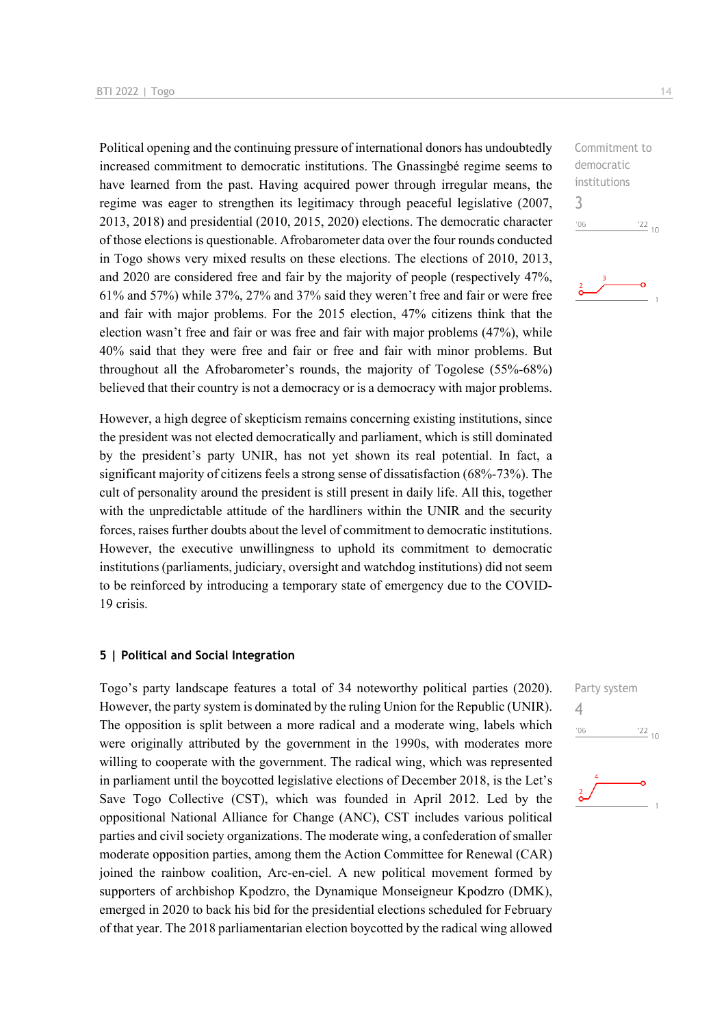Political opening and the continuing pressure of international donors has undoubtedly increased commitment to democratic institutions. The Gnassingbé regime seems to have learned from the past. Having acquired power through irregular means, the regime was eager to strengthen its legitimacy through peaceful legislative (2007, 2013, 2018) and presidential (2010, 2015, 2020) elections. The democratic character of those elections is questionable. Afrobarometer data over the four rounds conducted in Togo shows very mixed results on these elections. The elections of 2010, 2013, and 2020 are considered free and fair by the majority of people (respectively 47%, 61% and 57%) while 37%, 27% and 37% said they weren't free and fair or were free and fair with major problems. For the 2015 election, 47% citizens think that the election wasn't free and fair or was free and fair with major problems (47%), while 40% said that they were free and fair or free and fair with minor problems. But throughout all the Afrobarometer's rounds, the majority of Togolese (55%-68%) believed that their country is not a democracy or is a democracy with major problems.

However, a high degree of skepticism remains concerning existing institutions, since the president was not elected democratically and parliament, which is still dominated by the president's party UNIR, has not yet shown its real potential. In fact, a significant majority of citizens feels a strong sense of dissatisfaction (68%-73%). The cult of personality around the president is still present in daily life. All this, together with the unpredictable attitude of the hardliners within the UNIR and the security forces, raises further doubts about the level of commitment to democratic institutions. However, the executive unwillingness to uphold its commitment to democratic institutions (parliaments, judiciary, oversight and watchdog institutions) did not seem to be reinforced by introducing a temporary state of emergency due to the COVID-19 crisis.

#### **5 | Political and Social Integration**

Togo's party landscape features a total of 34 noteworthy political parties (2020). However, the party system is dominated by the ruling Union for the Republic (UNIR). The opposition is split between a more radical and a moderate wing, labels which were originally attributed by the government in the 1990s, with moderates more willing to cooperate with the government. The radical wing, which was represented in parliament until the boycotted legislative elections of December 2018, is the Let's Save Togo Collective (CST), which was founded in April 2012. Led by the oppositional National Alliance for Change (ANC), CST includes various political parties and civil society organizations. The moderate wing, a confederation of smaller moderate opposition parties, among them the Action Committee for Renewal (CAR) joined the rainbow coalition, Arc-en-ciel. A new political movement formed by supporters of archbishop Kpodzro, the Dynamique Monseigneur Kpodzro (DMK), emerged in 2020 to back his bid for the presidential elections scheduled for February of that year. The 2018 parliamentarian election boycotted by the radical wing allowed

Commitment to democratic institutions 3  $106$  $\frac{22}{10}$ 



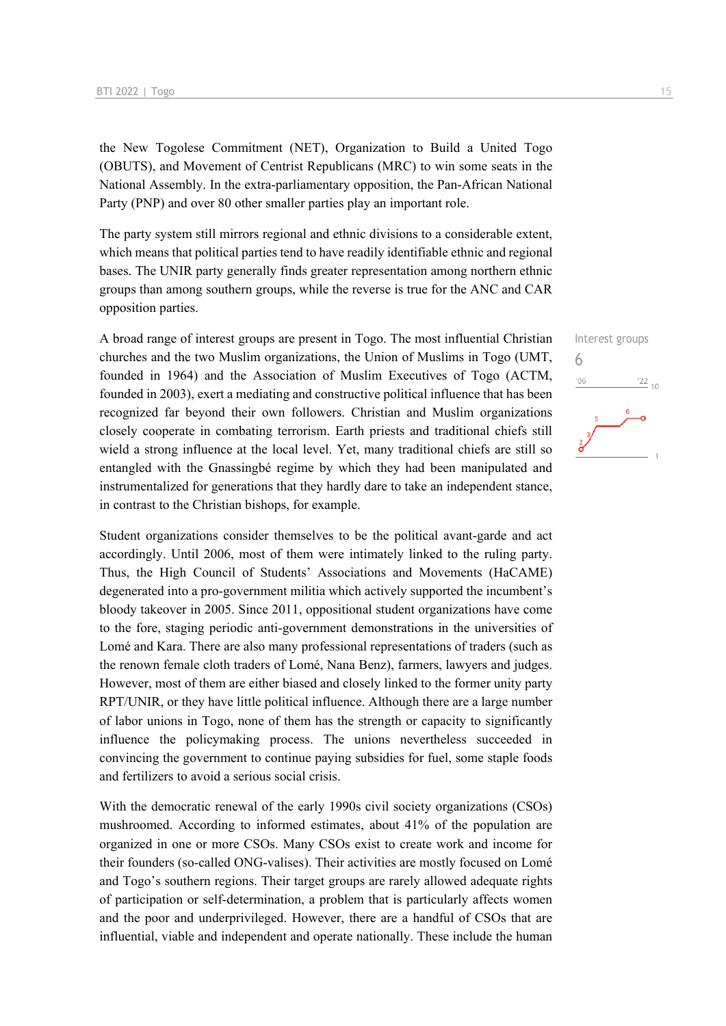the New Togolese Commitment (NET), Organization to Build a United Togo (OBUTS), and Movement of Centrist Republicans (MRC) to win some seats in the National Assembly. In the extra-parliamentary opposition, the Pan-African National Party (PNP) and over 80 other smaller parties play an important role.

The party system still mirrors regional and ethnic divisions to a considerable extent, which means that political parties tend to have readily identifiable ethnic and regional bases. The UNIR party generally finds greater representation among northern ethnic groups than among southern groups, while the reverse is true for the ANC and CAR opposition parties.

A broad range of interest groups are present in Togo. The most influential Christian churches and the two Muslim organizations, the Union of Muslims in Togo (UMT, founded in 1964) and the Association of Muslim Executives of Togo (ACTM, founded in 2003), exert a mediating and constructive political influence that has been recognized far beyond their own followers. Christian and Muslim organizations closely cooperate in combating terrorism. Earth priests and traditional chiefs still wield a strong influence at the local level. Yet, many traditional chiefs are still so entangled with the Gnassingbé regime by which they had been manipulated and instrumentalized for generations that they hardly dare to take an independent stance, in contrast to the Christian bishops, for example.

Student organizations consider themselves to be the political avant-garde and act accordingly. Until 2006, most of them were intimately linked to the ruling party. Thus, the High Council of Students' Associations and Movements (HaCAME) degenerated into a pro-government militia which actively supported the incumbent's bloody takeover in 2005. Since 2011, oppositional student organizations have come to the fore, staging periodic anti-government demonstrations in the universities of Lomé and Kara. There are also many professional representations of traders (such as the renown female cloth traders of Lomé, Nana Benz), farmers, lawyers and judges. However, most of them are either biased and closely linked to the former unity party RPT/UNIR, or they have little political influence. Although there are a large number of labor unions in Togo, none of them has the strength or capacity to significantly influence the policymaking process. The unions nevertheless succeeded in convincing the government to continue paying subsidies for fuel, some staple foods and fertilizers to avoid a serious social crisis.

With the democratic renewal of the early 1990s civil society organizations (CSOs) mushroomed. According to informed estimates, about 41% of the population are organized in one or more CSOs. Many CSOs exist to create work and income for their founders (so-called ONG-valises). Their activities are mostly focused on Lomé and Togo's southern regions. Their target groups are rarely allowed adequate rights of participation or self-determination, a problem that is particularly affects women and the poor and underprivileged. However, there are a handful of CSOs that are influential, viable and independent and operate nationally. These include the human

Interest groups

 $\frac{22}{10}$ 

6

 $'06$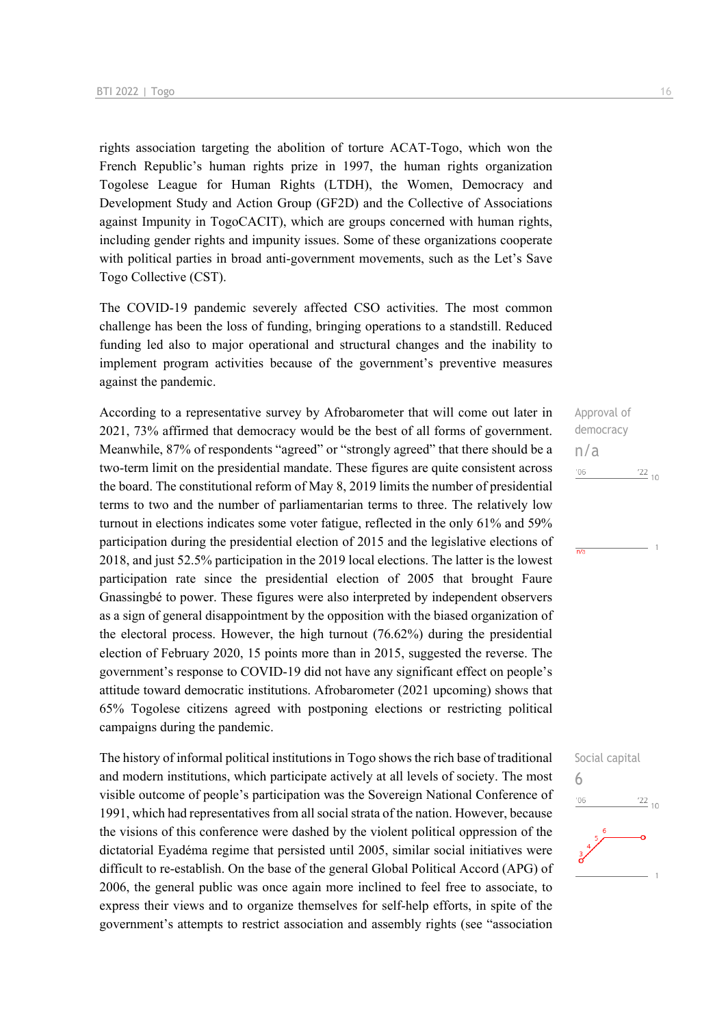rights association targeting the abolition of torture ACAT-Togo, which won the French Republic's human rights prize in 1997, the human rights organization Togolese League for Human Rights (LTDH), the Women, Democracy and Development Study and Action Group (GF2D) and the Collective of Associations against Impunity in TogoCACIT), which are groups concerned with human rights, including gender rights and impunity issues. Some of these organizations cooperate with political parties in broad anti-government movements, such as the Let's Save Togo Collective (CST).

The COVID-19 pandemic severely affected CSO activities. The most common challenge has been the loss of funding, bringing operations to a standstill. Reduced funding led also to major operational and structural changes and the inability to implement program activities because of the government's preventive measures against the pandemic.

According to a representative survey by Afrobarometer that will come out later in 2021, 73% affirmed that democracy would be the best of all forms of government. Meanwhile, 87% of respondents "agreed" or "strongly agreed" that there should be a two-term limit on the presidential mandate. These figures are quite consistent across the board. The constitutional reform of May 8, 2019 limits the number of presidential terms to two and the number of parliamentarian terms to three. The relatively low turnout in elections indicates some voter fatigue, reflected in the only 61% and 59% participation during the presidential election of 2015 and the legislative elections of 2018, and just 52.5% participation in the 2019 local elections. The latter is the lowest participation rate since the presidential election of 2005 that brought Faure Gnassingbé to power. These figures were also interpreted by independent observers as a sign of general disappointment by the opposition with the biased organization of the electoral process. However, the high turnout (76.62%) during the presidential election of February 2020, 15 points more than in 2015, suggested the reverse. The government's response to COVID-19 did not have any significant effect on people's attitude toward democratic institutions. Afrobarometer (2021 upcoming) shows that 65% Togolese citizens agreed with postponing elections or restricting political campaigns during the pandemic.

The history of informal political institutions in Togo shows the rich base of traditional and modern institutions, which participate actively at all levels of society. The most visible outcome of people's participation was the Sovereign National Conference of 1991, which had representatives from all social strata of the nation. However, because the visions of this conference were dashed by the violent political oppression of the dictatorial Eyadéma regime that persisted until 2005, similar social initiatives were difficult to re-establish. On the base of the general Global Political Accord (APG) of 2006, the general public was once again more inclined to feel free to associate, to express their views and to organize themselves for self-help efforts, in spite of the government's attempts to restrict association and assembly rights (see "association

Approval of democracy n/a  $'06$  $\frac{22}{10}$ 

 $\overline{n}/i$ 

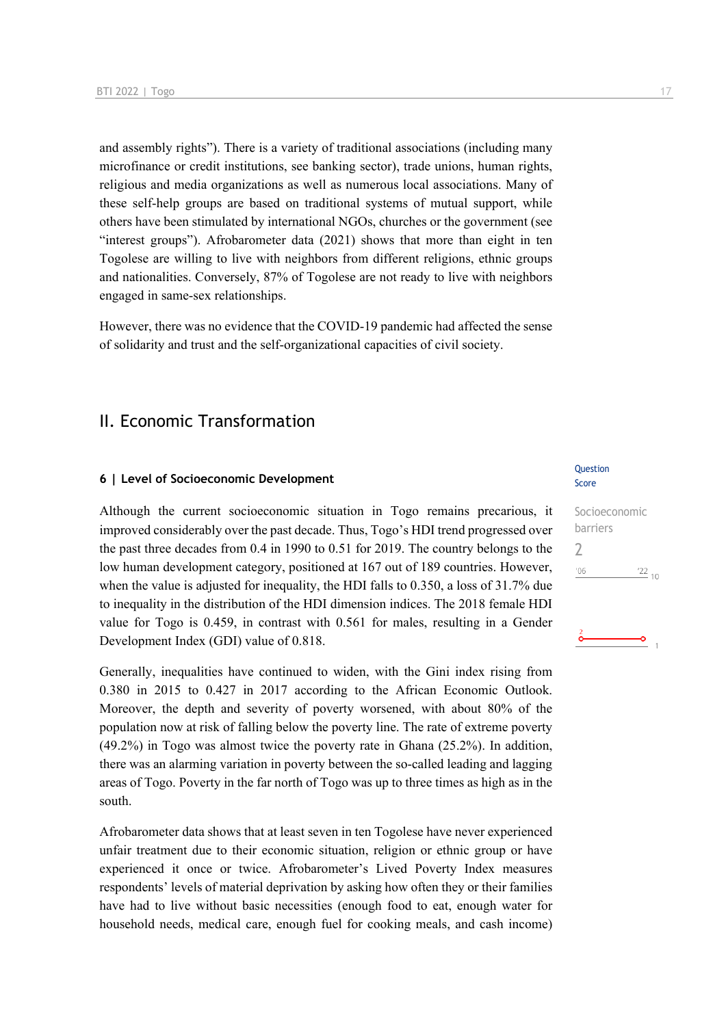and assembly rights"). There is a variety of traditional associations (including many microfinance or credit institutions, see banking sector), trade unions, human rights, religious and media organizations as well as numerous local associations. Many of these self-help groups are based on traditional systems of mutual support, while others have been stimulated by international NGOs, churches or the government (see "interest groups"). Afrobarometer data (2021) shows that more than eight in ten Togolese are willing to live with neighbors from different religions, ethnic groups and nationalities. Conversely, 87% of Togolese are not ready to live with neighbors engaged in same-sex relationships.

However, there was no evidence that the COVID-19 pandemic had affected the sense of solidarity and trust and the self-organizational capacities of civil society.

### II. Economic Transformation

#### **6 | Level of Socioeconomic Development**

Although the current socioeconomic situation in Togo remains precarious, it improved considerably over the past decade. Thus, Togo's HDI trend progressed over the past three decades from 0.4 in 1990 to 0.51 for 2019. The country belongs to the low human development category, positioned at 167 out of 189 countries. However, when the value is adjusted for inequality, the HDI falls to 0.350, a loss of 31.7% due to inequality in the distribution of the HDI dimension indices. The 2018 female HDI value for Togo is 0.459, in contrast with 0.561 for males, resulting in a Gender Development Index (GDI) value of 0.818.

Generally, inequalities have continued to widen, with the Gini index rising from 0.380 in 2015 to 0.427 in 2017 according to the African Economic Outlook. Moreover, the depth and severity of poverty worsened, with about 80% of the population now at risk of falling below the poverty line. The rate of extreme poverty (49.2%) in Togo was almost twice the poverty rate in Ghana (25.2%). In addition, there was an alarming variation in poverty between the so-called leading and lagging areas of Togo. Poverty in the far north of Togo was up to three times as high as in the south.

Afrobarometer data shows that at least seven in ten Togolese have never experienced unfair treatment due to their economic situation, religion or ethnic group or have experienced it once or twice. Afrobarometer's Lived Poverty Index measures respondents' levels of material deprivation by asking how often they or their families have had to live without basic necessities (enough food to eat, enough water for household needs, medical care, enough fuel for cooking meals, and cash income)

#### Question Score

| Socioeconomic<br>barriers |                 |  |
|---------------------------|-----------------|--|
|                           |                 |  |
| '06                       | $\frac{22}{10}$ |  |
|                           |                 |  |
|                           |                 |  |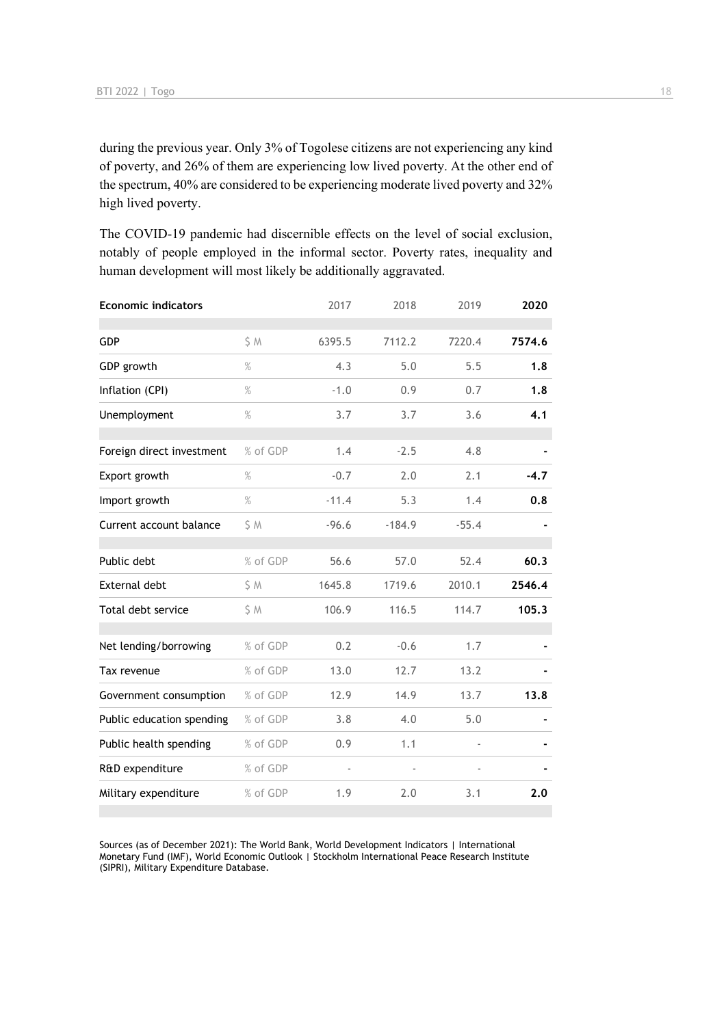during the previous year. Only 3% of Togolese citizens are not experiencing any kind of poverty, and 26% of them are experiencing low lived poverty. At the other end of the spectrum, 40% are considered to be experiencing moderate lived poverty and 32% high lived poverty.

The COVID-19 pandemic had discernible effects on the level of social exclusion, notably of people employed in the informal sector. Poverty rates, inequality and human development will most likely be additionally aggravated.

| <b>Economic indicators</b> |          | 2017    | 2018     | 2019    | 2020   |
|----------------------------|----------|---------|----------|---------|--------|
| GDP                        | S M      | 6395.5  | 7112.2   | 7220.4  | 7574.6 |
|                            |          |         |          |         |        |
| GDP growth                 | $\%$     | 4.3     | 5.0      | 5.5     | 1.8    |
| Inflation (CPI)            | $\%$     | $-1.0$  | 0.9      | 0.7     | 1.8    |
| Unemployment               | $\%$     | 3.7     | 3.7      | 3.6     | 4.1    |
|                            |          |         |          |         |        |
| Foreign direct investment  | % of GDP | 1.4     | $-2.5$   | 4.8     |        |
| Export growth              | $\%$     | $-0.7$  | 2.0      | 2.1     | $-4.7$ |
| Import growth              | $\%$     | $-11.4$ | 5.3      | 1.4     | 0.8    |
| Current account balance    | \$ M     | $-96.6$ | $-184.9$ | $-55.4$ |        |
|                            |          |         |          |         |        |
| Public debt                | % of GDP | 56.6    | 57.0     | 52.4    | 60.3   |
| <b>External debt</b>       | \$ M     | 1645.8  | 1719.6   | 2010.1  | 2546.4 |
| Total debt service         | \$M      | 106.9   | 116.5    | 114.7   | 105.3  |
|                            |          |         |          |         |        |
| Net lending/borrowing      | % of GDP | 0.2     | $-0.6$   | 1.7     |        |
| Tax revenue                | % of GDP | 13.0    | 12.7     | 13.2    |        |
| Government consumption     | % of GDP | 12.9    | 14.9     | 13.7    | 13.8   |
| Public education spending  | % of GDP | 3.8     | 4.0      | 5.0     |        |
| Public health spending     | % of GDP | 0.9     | 1.1      |         |        |
| R&D expenditure            | % of GDP |         |          |         |        |
| Military expenditure       | % of GDP | 1.9     | 2.0      | 3.1     | 2.0    |
|                            |          |         |          |         |        |

Sources (as of December 2021): The World Bank, World Development Indicators | International Monetary Fund (IMF), World Economic Outlook | Stockholm International Peace Research Institute (SIPRI), Military Expenditure Database.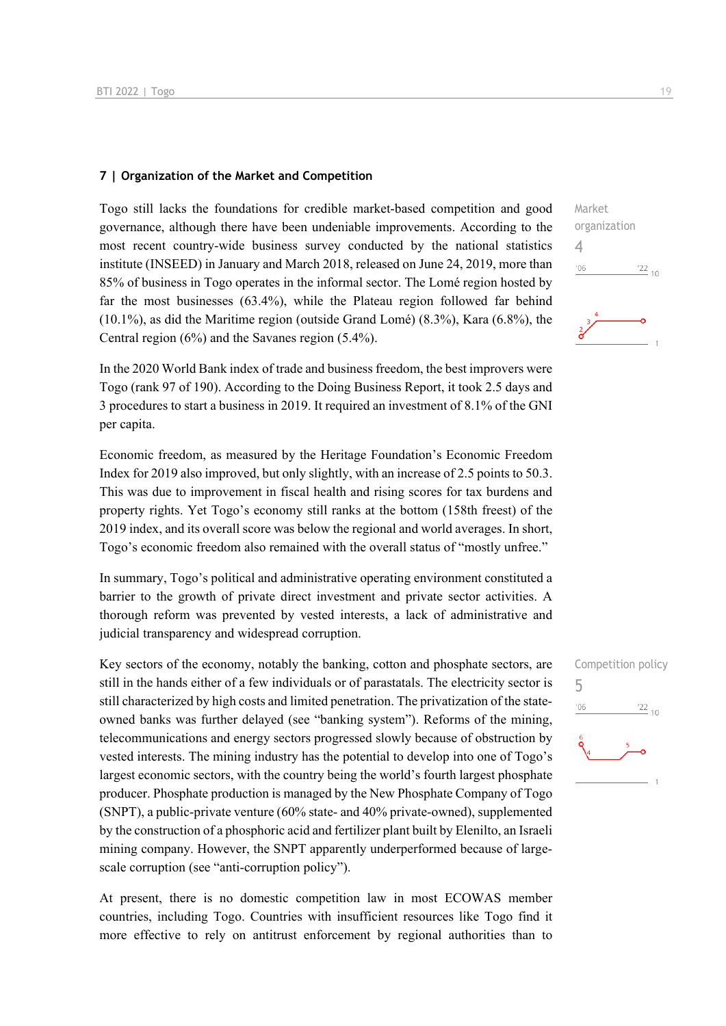#### **7 | Organization of the Market and Competition**

Togo still lacks the foundations for credible market-based competition and good governance, although there have been undeniable improvements. According to the most recent country-wide business survey conducted by the national statistics institute (INSEED) in January and March 2018, released on June 24, 2019, more than 85% of business in Togo operates in the informal sector. The Lomé region hosted by far the most businesses (63.4%), while the Plateau region followed far behind (10.1%), as did the Maritime region (outside Grand Lomé) (8.3%), Kara (6.8%), the Central region (6%) and the Savanes region (5.4%).

In the 2020 World Bank index of trade and business freedom, the best improvers were Togo (rank 97 of 190). According to the Doing Business Report, it took 2.5 days and 3 procedures to start a business in 2019. It required an investment of 8.1% of the GNI per capita.

Economic freedom, as measured by the Heritage Foundation's Economic Freedom Index for 2019 also improved, but only slightly, with an increase of 2.5 points to 50.3. This was due to improvement in fiscal health and rising scores for tax burdens and property rights. Yet Togo's economy still ranks at the bottom (158th freest) of the 2019 index, and its overall score was below the regional and world averages. In short, Togo's economic freedom also remained with the overall status of "mostly unfree."

In summary, Togo's political and administrative operating environment constituted a barrier to the growth of private direct investment and private sector activities. A thorough reform was prevented by vested interests, a lack of administrative and judicial transparency and widespread corruption.

Key sectors of the economy, notably the banking, cotton and phosphate sectors, are still in the hands either of a few individuals or of parastatals. The electricity sector is still characterized by high costs and limited penetration. The privatization of the stateowned banks was further delayed (see "banking system"). Reforms of the mining, telecommunications and energy sectors progressed slowly because of obstruction by vested interests. The mining industry has the potential to develop into one of Togo's largest economic sectors, with the country being the world's fourth largest phosphate producer. Phosphate production is managed by the New Phosphate Company of Togo (SNPT), a public-private venture (60% state- and 40% private-owned), supplemented by the construction of a phosphoric acid and fertilizer plant built by Elenilto, an Israeli mining company. However, the SNPT apparently underperformed because of largescale corruption (see "anti-corruption policy").

At present, there is no domestic competition law in most ECOWAS member countries, including Togo. Countries with insufficient resources like Togo find it more effective to rely on antitrust enforcement by regional authorities than to



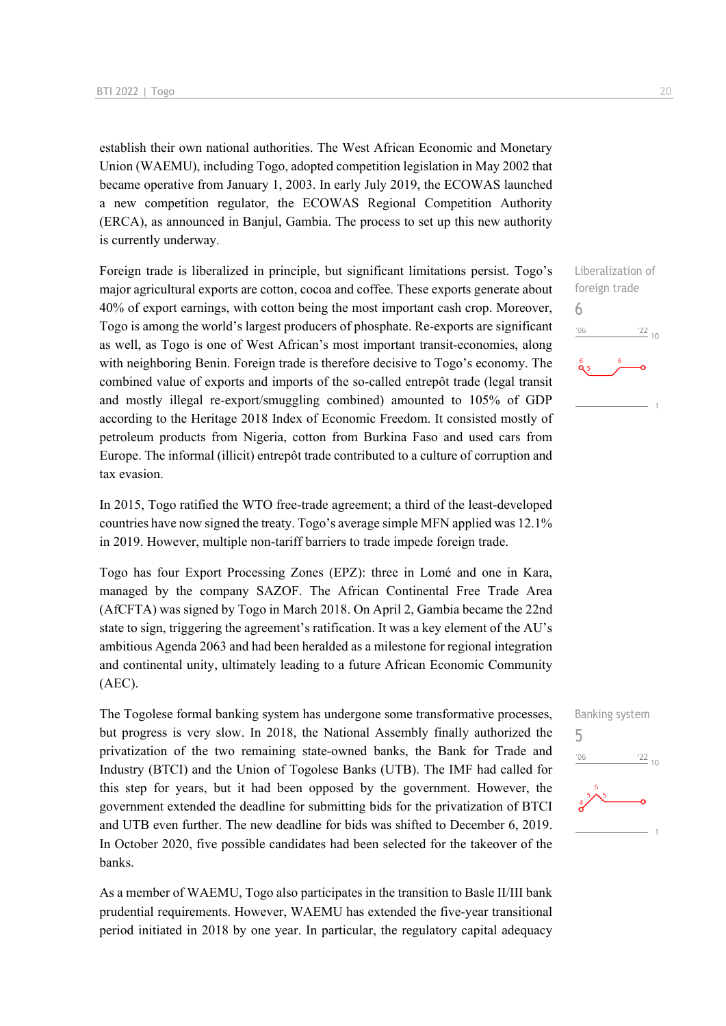establish their own national authorities. The West African Economic and Monetary Union (WAEMU), including Togo, adopted competition legislation in May 2002 that became operative from January 1, 2003. In early July 2019, the ECOWAS launched a new competition regulator, the ECOWAS Regional Competition Authority (ERCA), as announced in Banjul, Gambia. The process to set up this new authority is currently underway.

Foreign trade is liberalized in principle, but significant limitations persist. Togo's major agricultural exports are cotton, cocoa and coffee. These exports generate about 40% of export earnings, with cotton being the most important cash crop. Moreover, Togo is among the world's largest producers of phosphate. Re-exports are significant as well, as Togo is one of West African's most important transit-economies, along with neighboring Benin. Foreign trade is therefore decisive to Togo's economy. The combined value of exports and imports of the so-called entrepôt trade (legal transit and mostly illegal re-export/smuggling combined) amounted to 105% of GDP according to the Heritage 2018 Index of Economic Freedom. It consisted mostly of petroleum products from Nigeria, cotton from Burkina Faso and used cars from Europe. The informal (illicit) entrepôt trade contributed to a culture of corruption and tax evasion.

In 2015, Togo ratified the WTO free-trade agreement; a third of the least-developed countries have now signed the treaty. Togo's average simple MFN applied was 12.1% in 2019. However, multiple non-tariff barriers to trade impede foreign trade.

Togo has four Export Processing Zones (EPZ): three in Lomé and one in Kara, managed by the company SAZOF. The African Continental Free Trade Area (AfCFTA) was signed by Togo in March 2018. On April 2, Gambia became the 22nd state to sign, triggering the agreement's ratification. It was a key element of the AU's ambitious Agenda 2063 and had been heralded as a milestone for regional integration and continental unity, ultimately leading to a future African Economic Community (AEC).

The Togolese formal banking system has undergone some transformative processes, but progress is very slow. In 2018, the National Assembly finally authorized the privatization of the two remaining state-owned banks, the Bank for Trade and Industry (BTCI) and the Union of Togolese Banks (UTB). The IMF had called for this step for years, but it had been opposed by the government. However, the government extended the deadline for submitting bids for the privatization of BTCI and UTB even further. The new deadline for bids was shifted to December 6, 2019. In October 2020, five possible candidates had been selected for the takeover of the banks.

As a member of WAEMU, Togo also participates in the transition to Basle II/III bank prudential requirements. However, WAEMU has extended the five-year transitional period initiated in 2018 by one year. In particular, the regulatory capital adequacy



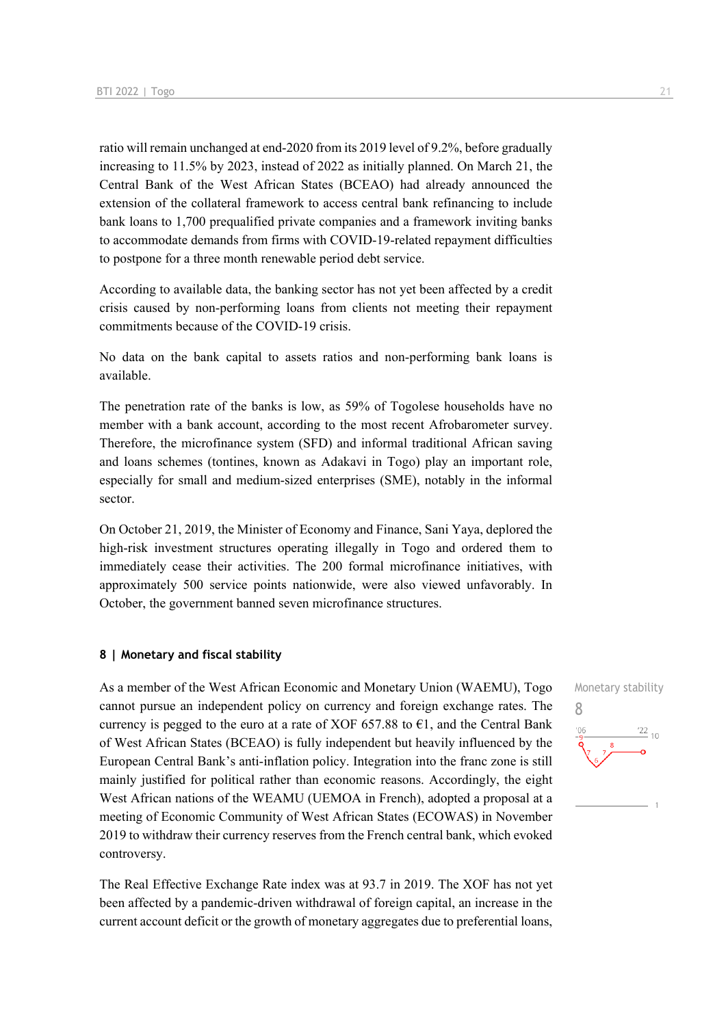ratio will remain unchanged at end-2020 from its 2019 level of 9.2%, before gradually increasing to 11.5% by 2023, instead of 2022 as initially planned. On March 21, the Central Bank of the West African States (BCEAO) had already announced the extension of the collateral framework to access central bank refinancing to include bank loans to 1,700 prequalified private companies and a framework inviting banks to accommodate demands from firms with COVID-19-related repayment difficulties to postpone for a three month renewable period debt service.

According to available data, the banking sector has not yet been affected by a credit crisis caused by non-performing loans from clients not meeting their repayment commitments because of the COVID-19 crisis.

No data on the bank capital to assets ratios and non-performing bank loans is available.

The penetration rate of the banks is low, as 59% of Togolese households have no member with a bank account, according to the most recent Afrobarometer survey. Therefore, the microfinance system (SFD) and informal traditional African saving and loans schemes (tontines, known as Adakavi in Togo) play an important role, especially for small and medium-sized enterprises (SME), notably in the informal sector.

On October 21, 2019, the Minister of Economy and Finance, Sani Yaya, deplored the high-risk investment structures operating illegally in Togo and ordered them to immediately cease their activities. The 200 formal microfinance initiatives, with approximately 500 service points nationwide, were also viewed unfavorably. In October, the government banned seven microfinance structures.

#### **8 | Monetary and fiscal stability**

As a member of the West African Economic and Monetary Union (WAEMU), Togo cannot pursue an independent policy on currency and foreign exchange rates. The currency is pegged to the euro at a rate of XOF 657.88 to  $\epsilon$ 1, and the Central Bank of West African States (BCEAO) is fully independent but heavily influenced by the European Central Bank's anti-inflation policy. Integration into the franc zone is still mainly justified for political rather than economic reasons. Accordingly, the eight West African nations of the WEAMU (UEMOA in French), adopted a proposal at a meeting of Economic Community of West African States (ECOWAS) in November 2019 to withdraw their currency reserves from the French central bank, which evoked controversy.

The Real Effective Exchange Rate index was at 93.7 in 2019. The XOF has not yet been affected by a pandemic-driven withdrawal of foreign capital, an increase in the current account deficit or the growth of monetary aggregates due to preferential loans,

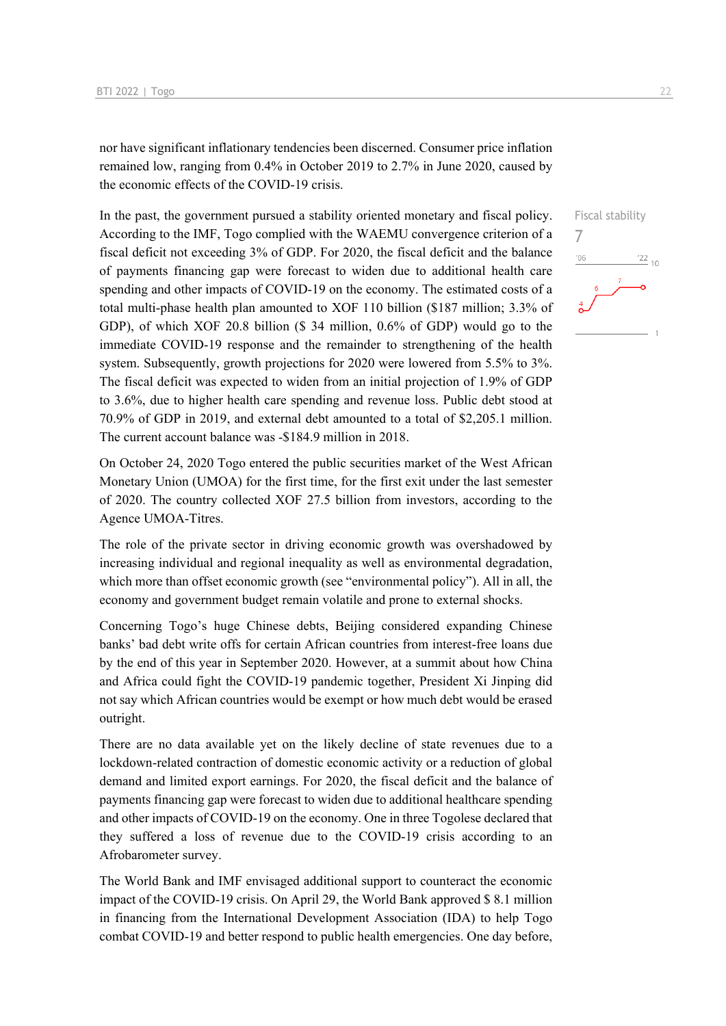nor have significant inflationary tendencies been discerned. Consumer price inflation remained low, ranging from 0.4% in October 2019 to 2.7% in June 2020, caused by the economic effects of the COVID-19 crisis.

In the past, the government pursued a stability oriented monetary and fiscal policy. According to the IMF, Togo complied with the WAEMU convergence criterion of a fiscal deficit not exceeding 3% of GDP. For 2020, the fiscal deficit and the balance of payments financing gap were forecast to widen due to additional health care spending and other impacts of COVID-19 on the economy. The estimated costs of a total multi-phase health plan amounted to XOF 110 billion (\$187 million; 3.3% of GDP), of which XOF 20.8 billion (\$ 34 million, 0.6% of GDP) would go to the immediate COVID-19 response and the remainder to strengthening of the health system. Subsequently, growth projections for 2020 were lowered from 5.5% to 3%. The fiscal deficit was expected to widen from an initial projection of 1.9% of GDP to 3.6%, due to higher health care spending and revenue loss. Public debt stood at 70.9% of GDP in 2019, and external debt amounted to a total of \$2,205.1 million. The current account balance was -\$184.9 million in 2018.

On October 24, 2020 Togo entered the public securities market of the West African Monetary Union (UMOA) for the first time, for the first exit under the last semester of 2020. The country collected XOF 27.5 billion from investors, according to the Agence UMOA-Titres.

The role of the private sector in driving economic growth was overshadowed by increasing individual and regional inequality as well as environmental degradation, which more than offset economic growth (see "environmental policy"). All in all, the economy and government budget remain volatile and prone to external shocks.

Concerning Togo's huge Chinese debts, Beijing considered expanding Chinese banks' bad debt write offs for certain African countries from interest-free loans due by the end of this year in September 2020. However, at a summit about how China and Africa could fight the COVID-19 pandemic together, President Xi Jinping did not say which African countries would be exempt or how much debt would be erased outright.

There are no data available yet on the likely decline of state revenues due to a lockdown-related contraction of domestic economic activity or a reduction of global demand and limited export earnings. For 2020, the fiscal deficit and the balance of payments financing gap were forecast to widen due to additional healthcare spending and other impacts of COVID-19 on the economy. One in three Togolese declared that they suffered a loss of revenue due to the COVID-19 crisis according to an Afrobarometer survey.

The World Bank and IMF envisaged additional support to counteract the economic impact of the COVID-19 crisis. On April 29, the World Bank approved \$ 8.1 million in financing from the International Development Association (IDA) to help Togo combat COVID-19 and better respond to public health emergencies. One day before, Fiscal stability

 $\frac{122}{10}$ 

7

'06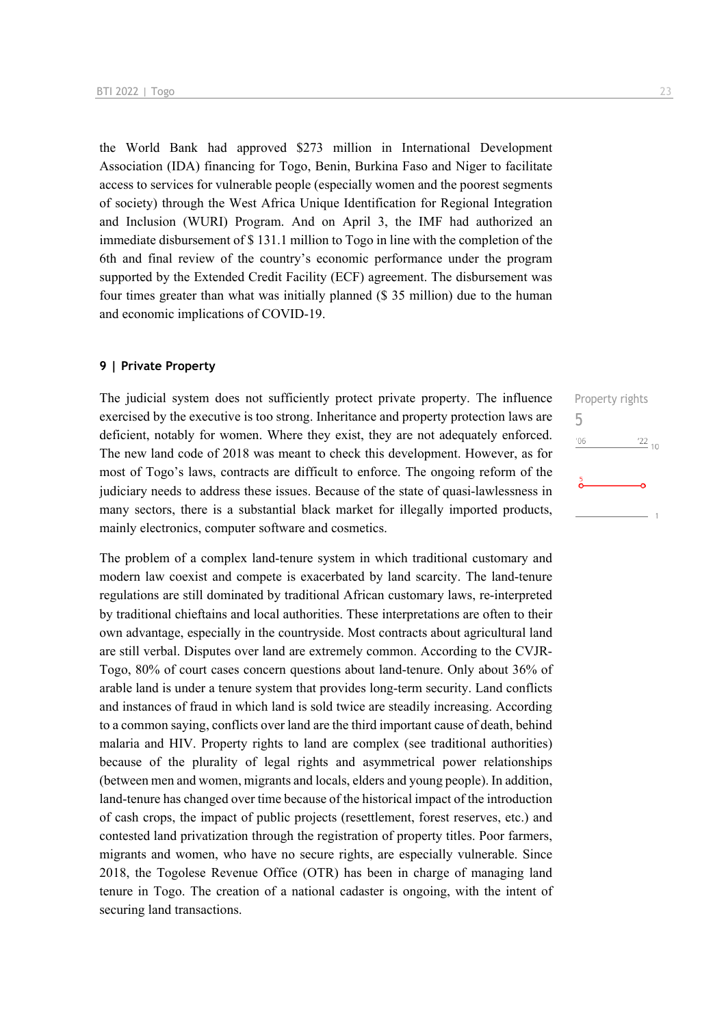the World Bank had approved \$273 million in International Development Association (IDA) financing for Togo, Benin, Burkina Faso and Niger to facilitate access to services for vulnerable people (especially women and the poorest segments of society) through the West Africa Unique Identification for Regional Integration and Inclusion (WURI) Program. And on April 3, the IMF had authorized an immediate disbursement of \$ 131.1 million to Togo in line with the completion of the 6th and final review of the country's economic performance under the program supported by the Extended Credit Facility (ECF) agreement. The disbursement was four times greater than what was initially planned (\$ 35 million) due to the human and economic implications of COVID-19.

#### **9 | Private Property**

The judicial system does not sufficiently protect private property. The influence exercised by the executive is too strong. Inheritance and property protection laws are deficient, notably for women. Where they exist, they are not adequately enforced. The new land code of 2018 was meant to check this development. However, as for most of Togo's laws, contracts are difficult to enforce. The ongoing reform of the judiciary needs to address these issues. Because of the state of quasi-lawlessness in many sectors, there is a substantial black market for illegally imported products, mainly electronics, computer software and cosmetics.

The problem of a complex land-tenure system in which traditional customary and modern law coexist and compete is exacerbated by land scarcity. The land-tenure regulations are still dominated by traditional African customary laws, re-interpreted by traditional chieftains and local authorities. These interpretations are often to their own advantage, especially in the countryside. Most contracts about agricultural land are still verbal. Disputes over land are extremely common. According to the CVJR-Togo, 80% of court cases concern questions about land-tenure. Only about 36% of arable land is under a tenure system that provides long-term security. Land conflicts and instances of fraud in which land is sold twice are steadily increasing. According to a common saying, conflicts over land are the third important cause of death, behind malaria and HIV. Property rights to land are complex (see traditional authorities) because of the plurality of legal rights and asymmetrical power relationships (between men and women, migrants and locals, elders and young people). In addition, land-tenure has changed over time because of the historical impact of the introduction of cash crops, the impact of public projects (resettlement, forest reserves, etc.) and contested land privatization through the registration of property titles. Poor farmers, migrants and women, who have no secure rights, are especially vulnerable. Since 2018, the Togolese Revenue Office (OTR) has been in charge of managing land tenure in Togo. The creation of a national cadaster is ongoing, with the intent of securing land transactions.

Property rights 5 $\frac{22}{10}$  $^{\prime}06$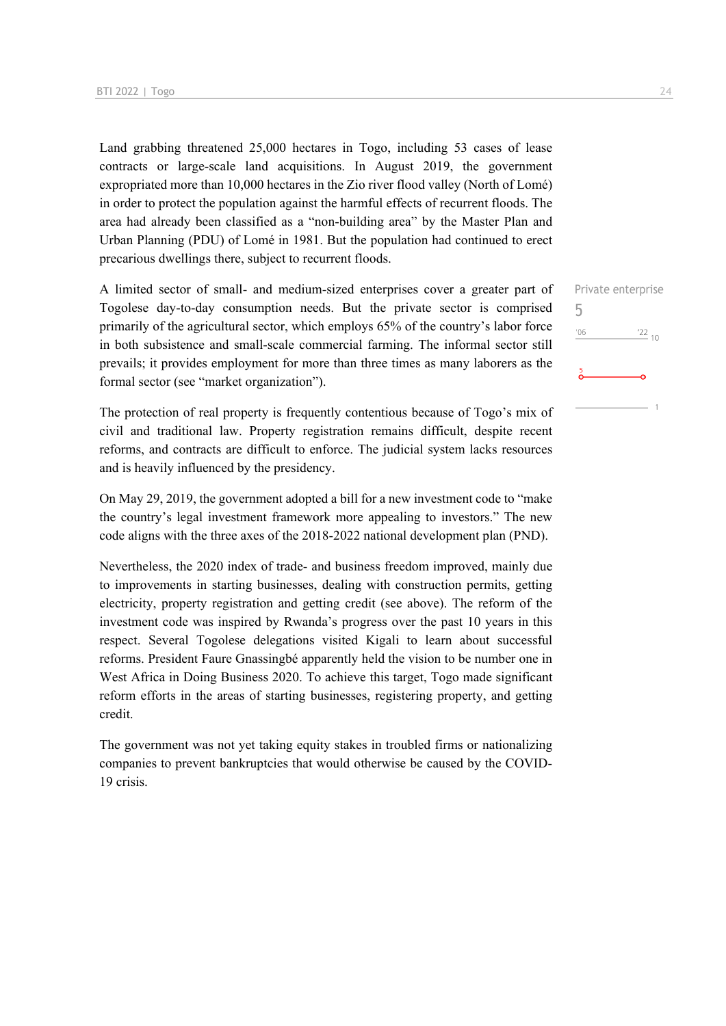Land grabbing threatened 25,000 hectares in Togo, including 53 cases of lease contracts or large-scale land acquisitions. In August 2019, the government expropriated more than 10,000 hectares in the Zio river flood valley (North of Lomé) in order to protect the population against the harmful effects of recurrent floods. The area had already been classified as a "non-building area" by the Master Plan and Urban Planning (PDU) of Lomé in 1981. But the population had continued to erect precarious dwellings there, subject to recurrent floods.

A limited sector of small- and medium-sized enterprises cover a greater part of Togolese day-to-day consumption needs. But the private sector is comprised primarily of the agricultural sector, which employs 65% of the country's labor force in both subsistence and small-scale commercial farming. The informal sector still prevails; it provides employment for more than three times as many laborers as the formal sector (see "market organization").

The protection of real property is frequently contentious because of Togo's mix of civil and traditional law. Property registration remains difficult, despite recent reforms, and contracts are difficult to enforce. The judicial system lacks resources and is heavily influenced by the presidency.

On May 29, 2019, the government adopted a bill for a new investment code to "make the country's legal investment framework more appealing to investors." The new code aligns with the three axes of the 2018-2022 national development plan (PND).

Nevertheless, the 2020 index of trade- and business freedom improved, mainly due to improvements in starting businesses, dealing with construction permits, getting electricity, property registration and getting credit (see above). The reform of the investment code was inspired by Rwanda's progress over the past 10 years in this respect. Several Togolese delegations visited Kigali to learn about successful reforms. President Faure Gnassingbé apparently held the vision to be number one in West Africa in Doing Business 2020. To achieve this target, Togo made significant reform efforts in the areas of starting businesses, registering property, and getting credit.

The government was not yet taking equity stakes in troubled firms or nationalizing companies to prevent bankruptcies that would otherwise be caused by the COVID-19 crisis.

## Private enterprise 5 $\frac{22}{10}$  $'06$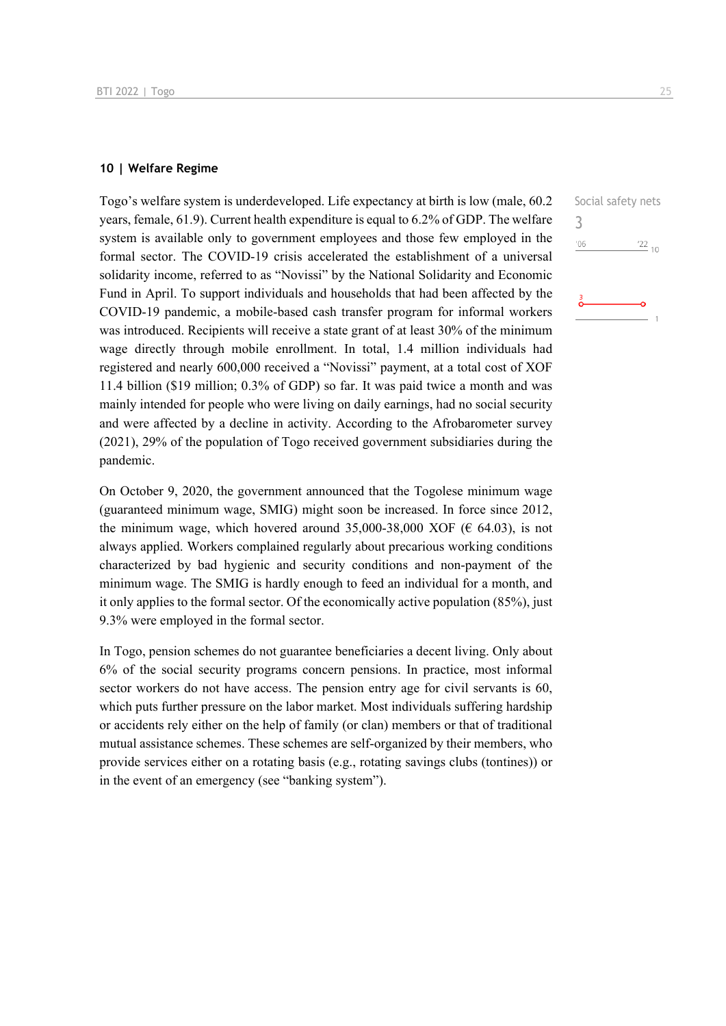#### **10 | Welfare Regime**

Togo's welfare system is underdeveloped. Life expectancy at birth is low (male, 60.2 years, female, 61.9). Current health expenditure is equal to 6.2% of GDP. The welfare system is available only to government employees and those few employed in the formal sector. The COVID-19 crisis accelerated the establishment of a universal solidarity income, referred to as "Novissi" by the National Solidarity and Economic Fund in April. To support individuals and households that had been affected by the COVID-19 pandemic, a mobile-based cash transfer program for informal workers was introduced. Recipients will receive a state grant of at least 30% of the minimum wage directly through mobile enrollment. In total, 1.4 million individuals had registered and nearly 600,000 received a "Novissi" payment, at a total cost of XOF 11.4 billion (\$19 million; 0.3% of GDP) so far. It was paid twice a month and was mainly intended for people who were living on daily earnings, had no social security and were affected by a decline in activity. According to the Afrobarometer survey (2021), 29% of the population of Togo received government subsidiaries during the pandemic.

On October 9, 2020, the government announced that the Togolese minimum wage (guaranteed minimum wage, SMIG) might soon be increased. In force since 2012, the minimum wage, which hovered around 35,000-38,000 XOF ( $\epsilon$  64.03), is not always applied. Workers complained regularly about precarious working conditions characterized by bad hygienic and security conditions and non-payment of the minimum wage. The SMIG is hardly enough to feed an individual for a month, and it only applies to the formal sector. Of the economically active population (85%), just 9.3% were employed in the formal sector.

In Togo, pension schemes do not guarantee beneficiaries a decent living. Only about 6% of the social security programs concern pensions. In practice, most informal sector workers do not have access. The pension entry age for civil servants is 60, which puts further pressure on the labor market. Most individuals suffering hardship or accidents rely either on the help of family (or clan) members or that of traditional mutual assistance schemes. These schemes are self-organized by their members, who provide services either on a rotating basis (e.g., rotating savings clubs (tontines)) or in the event of an emergency (see "banking system").

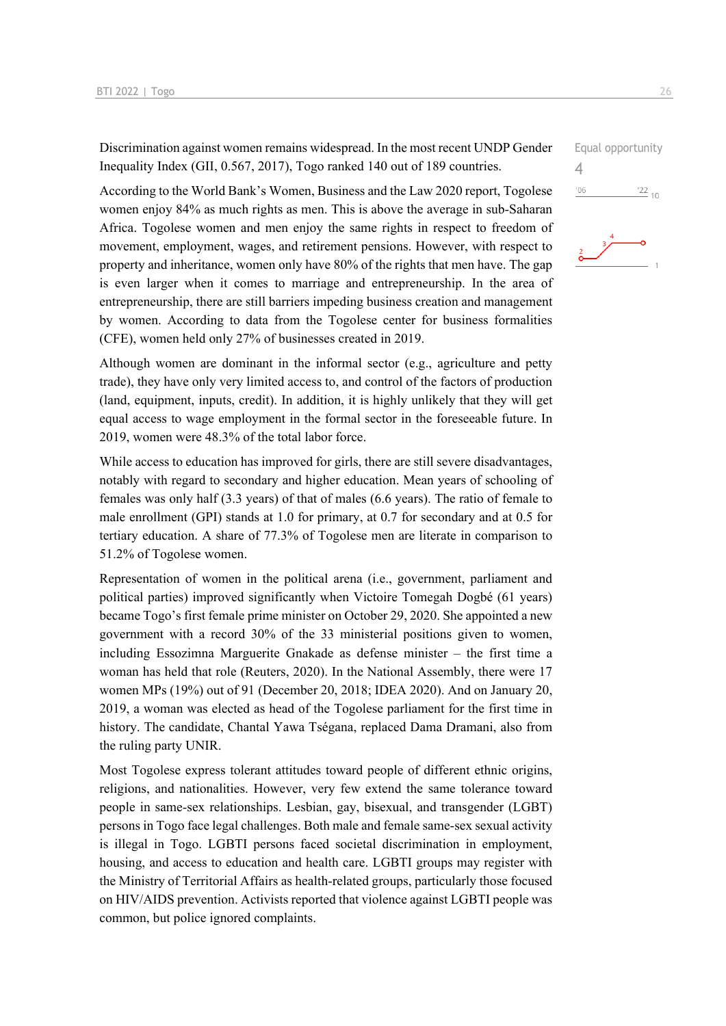Discrimination against women remains widespread. In the most recent UNDP Gender Inequality Index (GII, 0.567, 2017), Togo ranked 140 out of 189 countries.

According to the World Bank's Women, Business and the Law 2020 report, Togolese women enjoy 84% as much rights as men. This is above the average in sub-Saharan Africa. Togolese women and men enjoy the same rights in respect to freedom of movement, employment, wages, and retirement pensions. However, with respect to property and inheritance, women only have 80% of the rights that men have. The gap is even larger when it comes to marriage and entrepreneurship. In the area of entrepreneurship, there are still barriers impeding business creation and management by women. According to data from the Togolese center for business formalities (CFE), women held only 27% of businesses created in 2019.

Although women are dominant in the informal sector (e.g., agriculture and petty trade), they have only very limited access to, and control of the factors of production (land, equipment, inputs, credit). In addition, it is highly unlikely that they will get equal access to wage employment in the formal sector in the foreseeable future. In 2019, women were 48.3% of the total labor force.

While access to education has improved for girls, there are still severe disadvantages, notably with regard to secondary and higher education. Mean years of schooling of females was only half (3.3 years) of that of males (6.6 years). The ratio of female to male enrollment (GPI) stands at 1.0 for primary, at 0.7 for secondary and at 0.5 for tertiary education. A share of 77.3% of Togolese men are literate in comparison to 51.2% of Togolese women.

Representation of women in the political arena (i.e., government, parliament and political parties) improved significantly when Victoire Tomegah Dogbé (61 years) became Togo's first female prime minister on October 29, 2020. She appointed a new government with a record 30% of the 33 ministerial positions given to women, including Essozimna Marguerite Gnakade as defense minister – the first time a woman has held that role (Reuters, 2020). In the National Assembly, there were 17 women MPs (19%) out of 91 (December 20, 2018; IDEA 2020). And on January 20, 2019, a woman was elected as head of the Togolese parliament for the first time in history. The candidate, Chantal Yawa Tségana, replaced Dama Dramani, also from the ruling party UNIR.

Most Togolese express tolerant attitudes toward people of different ethnic origins, religions, and nationalities. However, very few extend the same tolerance toward people in same-sex relationships. Lesbian, gay, bisexual, and transgender (LGBT) persons in Togo face legal challenges. Both male and female same-sex sexual activity is illegal in Togo. LGBTI persons faced societal discrimination in employment, housing, and access to education and health care. LGBTI groups may register with the Ministry of Territorial Affairs as health-related groups, particularly those focused on HIV/AIDS prevention. Activists reported that violence against LGBTI people was common, but police ignored complaints.

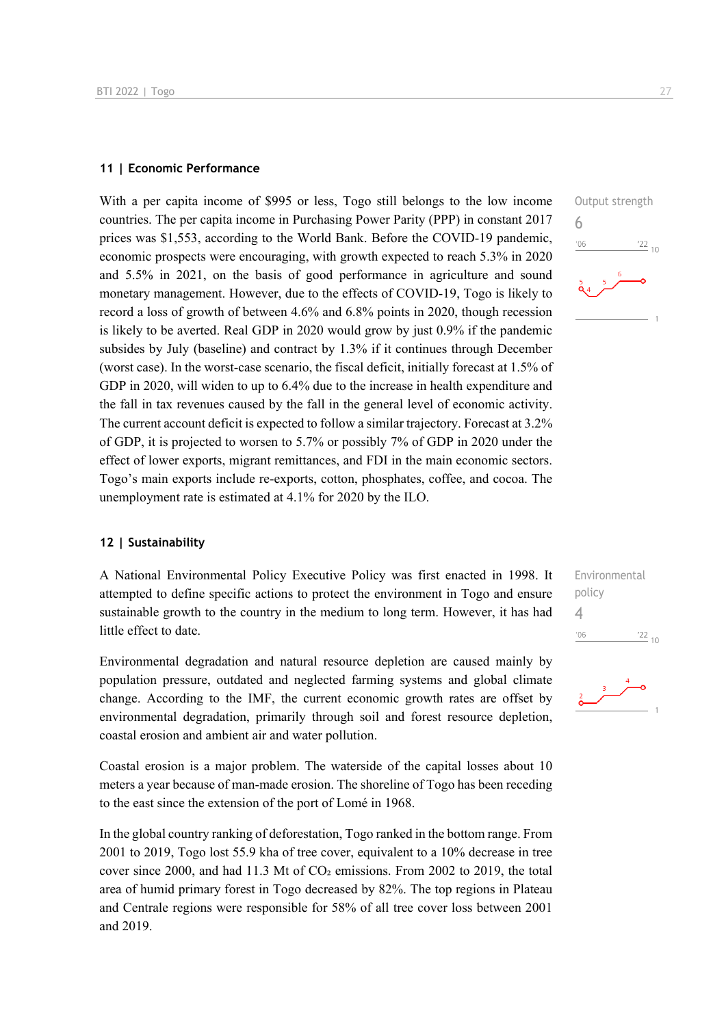#### **11 | Economic Performance**

With a per capita income of \$995 or less, Togo still belongs to the low income countries. The per capita income in Purchasing Power Parity (PPP) in constant 2017 prices was \$1,553, according to the World Bank. Before the COVID-19 pandemic, economic prospects were encouraging, with growth expected to reach 5.3% in 2020 and 5.5% in 2021, on the basis of good performance in agriculture and sound monetary management. However, due to the effects of COVID-19, Togo is likely to record a loss of growth of between 4.6% and 6.8% points in 2020, though recession is likely to be averted. Real GDP in 2020 would grow by just 0.9% if the pandemic subsides by July (baseline) and contract by 1.3% if it continues through December (worst case). In the worst-case scenario, the fiscal deficit, initially forecast at 1.5% of GDP in 2020, will widen to up to 6.4% due to the increase in health expenditure and the fall in tax revenues caused by the fall in the general level of economic activity. The current account deficit is expected to follow a similar trajectory. Forecast at 3.2% of GDP, it is projected to worsen to 5.7% or possibly 7% of GDP in 2020 under the effect of lower exports, migrant remittances, and FDI in the main economic sectors. Togo's main exports include re-exports, cotton, phosphates, coffee, and cocoa. The unemployment rate is estimated at 4.1% for 2020 by the ILO.

## **12 | Sustainability**

A National Environmental Policy Executive Policy was first enacted in 1998. It attempted to define specific actions to protect the environment in Togo and ensure sustainable growth to the country in the medium to long term. However, it has had little effect to date.

Environmental degradation and natural resource depletion are caused mainly by population pressure, outdated and neglected farming systems and global climate change. According to the IMF, the current economic growth rates are offset by environmental degradation, primarily through soil and forest resource depletion, coastal erosion and ambient air and water pollution.

Coastal erosion is a major problem. The waterside of the capital losses about 10 meters a year because of man-made erosion. The shoreline of Togo has been receding to the east since the extension of the port of Lomé in 1968.

In the global country ranking of deforestation, Togo ranked in the bottom range. From 2001 to 2019, Togo lost 55.9 kha of tree cover, equivalent to a 10% decrease in tree cover since 2000, and had 11.3 Mt of  $CO<sub>2</sub>$  emissions. From 2002 to 2019, the total area of humid primary forest in Togo decreased by 82%. The top regions in Plateau and Centrale regions were responsible for 58% of all tree cover loss between 2001 and 2019.



Environmental policy 4 $^{22}_{-10}$  $-06$ 

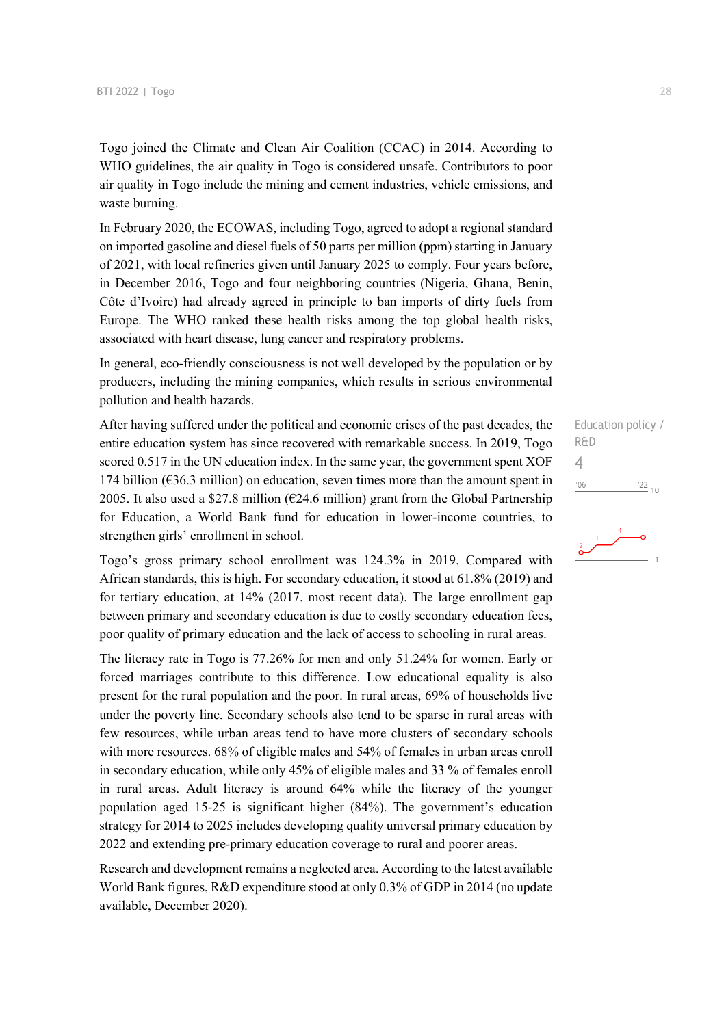Togo joined the Climate and Clean Air Coalition (CCAC) in 2014. According to WHO guidelines, the air quality in Togo is considered unsafe. Contributors to poor air quality in Togo include the mining and cement industries, vehicle emissions, and waste burning.

In February 2020, the ECOWAS, including Togo, agreed to adopt a regional standard on imported gasoline and diesel fuels of 50 parts per million (ppm) starting in January of 2021, with local refineries given until January 2025 to comply. Four years before, in December 2016, Togo and four neighboring countries (Nigeria, Ghana, Benin, Côte d'Ivoire) had already agreed in principle to ban imports of dirty fuels from Europe. The WHO ranked these health risks among the top global health risks, associated with heart disease, lung cancer and respiratory problems.

In general, eco-friendly consciousness is not well developed by the population or by producers, including the mining companies, which results in serious environmental pollution and health hazards.

After having suffered under the political and economic crises of the past decades, the entire education system has since recovered with remarkable success. In 2019, Togo scored 0.517 in the UN education index. In the same year, the government spent XOF 174 billion (€36.3 million) on education, seven times more than the amount spent in 2005. It also used a \$27.8 million ( $\epsilon$ 24.6 million) grant from the Global Partnership for Education, a World Bank fund for education in lower-income countries, to strengthen girls' enrollment in school.

Togo's gross primary school enrollment was 124.3% in 2019. Compared with African standards, this is high. For secondary education, it stood at 61.8% (2019) and for tertiary education, at 14% (2017, most recent data). The large enrollment gap between primary and secondary education is due to costly secondary education fees, poor quality of primary education and the lack of access to schooling in rural areas.

The literacy rate in Togo is 77.26% for men and only 51.24% for women. Early or forced marriages contribute to this difference. Low educational equality is also present for the rural population and the poor. In rural areas, 69% of households live under the poverty line. Secondary schools also tend to be sparse in rural areas with few resources, while urban areas tend to have more clusters of secondary schools with more resources. 68% of eligible males and 54% of females in urban areas enroll in secondary education, while only 45% of eligible males and 33 % of females enroll in rural areas. Adult literacy is around 64% while the literacy of the younger population aged 15-25 is significant higher (84%). The government's education strategy for 2014 to 2025 includes developing quality universal primary education by 2022 and extending pre-primary education coverage to rural and poorer areas.

Research and development remains a neglected area. According to the latest available World Bank figures, R&D expenditure stood at only 0.3% of GDP in 2014 (no update available, December 2020).

Education policy / R&D 4 $'06$  $\frac{22}{10}$ 

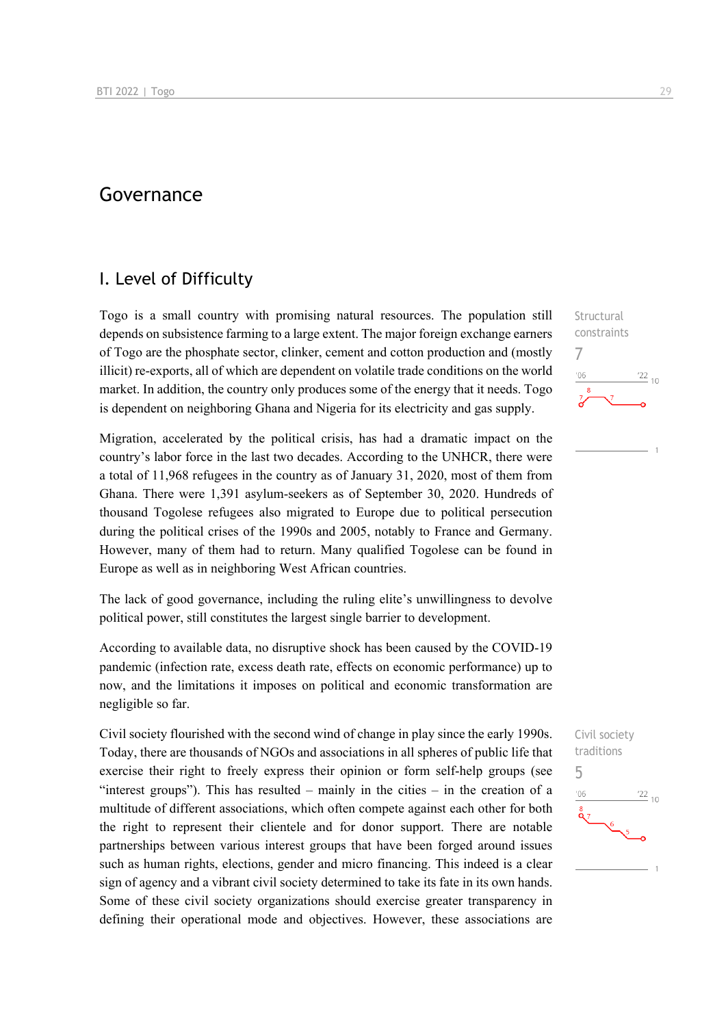### Governance

### I. Level of Difficulty

Togo is a small country with promising natural resources. The population still depends on subsistence farming to a large extent. The major foreign exchange earners of Togo are the phosphate sector, clinker, cement and cotton production and (mostly illicit) re-exports, all of which are dependent on volatile trade conditions on the world market. In addition, the country only produces some of the energy that it needs. Togo is dependent on neighboring Ghana and Nigeria for its electricity and gas supply.

Migration, accelerated by the political crisis, has had a dramatic impact on the country's labor force in the last two decades. According to the UNHCR, there were a total of 11,968 refugees in the country as of January 31, 2020, most of them from Ghana. There were 1,391 asylum-seekers as of September 30, 2020. Hundreds of thousand Togolese refugees also migrated to Europe due to political persecution during the political crises of the 1990s and 2005, notably to France and Germany. However, many of them had to return. Many qualified Togolese can be found in Europe as well as in neighboring West African countries.

The lack of good governance, including the ruling elite's unwillingness to devolve political power, still constitutes the largest single barrier to development.

According to available data, no disruptive shock has been caused by the COVID-19 pandemic (infection rate, excess death rate, effects on economic performance) up to now, and the limitations it imposes on political and economic transformation are negligible so far.

Civil society flourished with the second wind of change in play since the early 1990s. Today, there are thousands of NGOs and associations in all spheres of public life that exercise their right to freely express their opinion or form self-help groups (see "interest groups"). This has resulted – mainly in the cities – in the creation of a multitude of different associations, which often compete against each other for both the right to represent their clientele and for donor support. There are notable partnerships between various interest groups that have been forged around issues such as human rights, elections, gender and micro financing. This indeed is a clear sign of agency and a vibrant civil society determined to take its fate in its own hands. Some of these civil society organizations should exercise greater transparency in defining their operational mode and objectives. However, these associations are Structural constraints 7  $\frac{22}{10}$  $-06$ 

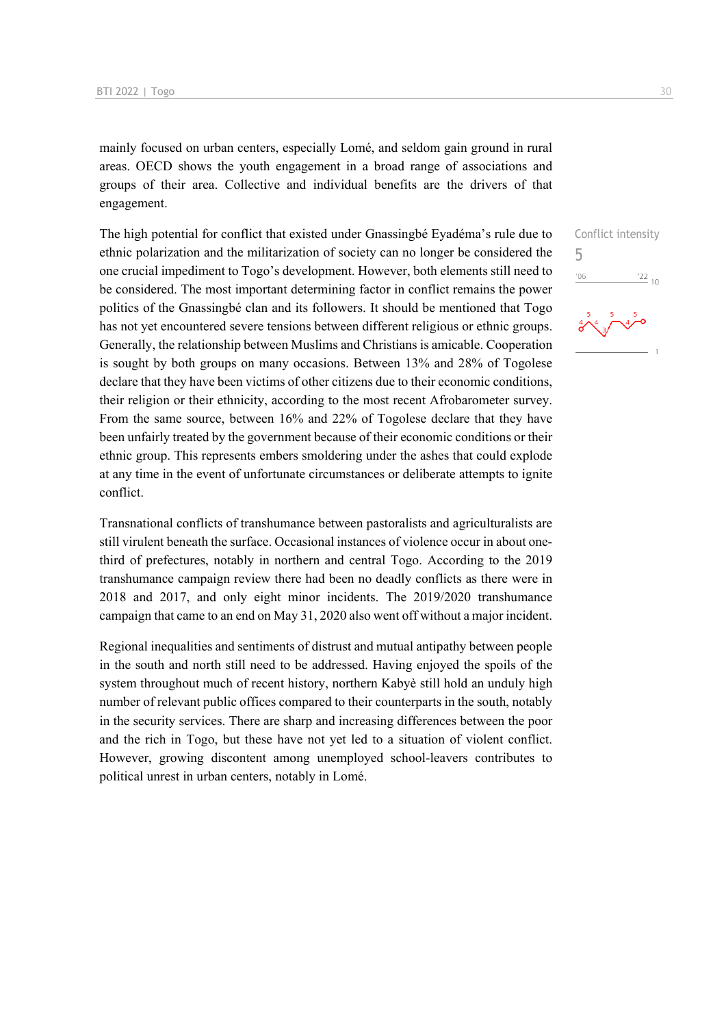mainly focused on urban centers, especially Lomé, and seldom gain ground in rural areas. OECD shows the youth engagement in a broad range of associations and groups of their area. Collective and individual benefits are the drivers of that engagement.

The high potential for conflict that existed under Gnassingbé Eyadéma's rule due to ethnic polarization and the militarization of society can no longer be considered the one crucial impediment to Togo's development. However, both elements still need to be considered. The most important determining factor in conflict remains the power politics of the Gnassingbé clan and its followers. It should be mentioned that Togo has not yet encountered severe tensions between different religious or ethnic groups. Generally, the relationship between Muslims and Christians is amicable. Cooperation is sought by both groups on many occasions. Between 13% and 28% of Togolese declare that they have been victims of other citizens due to their economic conditions, their religion or their ethnicity, according to the most recent Afrobarometer survey. From the same source, between 16% and 22% of Togolese declare that they have been unfairly treated by the government because of their economic conditions or their ethnic group. This represents embers smoldering under the ashes that could explode at any time in the event of unfortunate circumstances or deliberate attempts to ignite conflict.

Transnational conflicts of transhumance between pastoralists and agriculturalists are still virulent beneath the surface. Occasional instances of violence occur in about onethird of prefectures, notably in northern and central Togo. According to the 2019 transhumance campaign review there had been no deadly conflicts as there were in 2018 and 2017, and only eight minor incidents. The 2019/2020 transhumance campaign that came to an end on May 31, 2020 also went off without a major incident.

Regional inequalities and sentiments of distrust and mutual antipathy between people in the south and north still need to be addressed. Having enjoyed the spoils of the system throughout much of recent history, northern Kabyè still hold an unduly high number of relevant public offices compared to their counterparts in the south, notably in the security services. There are sharp and increasing differences between the poor and the rich in Togo, but these have not yet led to a situation of violent conflict. However, growing discontent among unemployed school-leavers contributes to political unrest in urban centers, notably in Lomé.

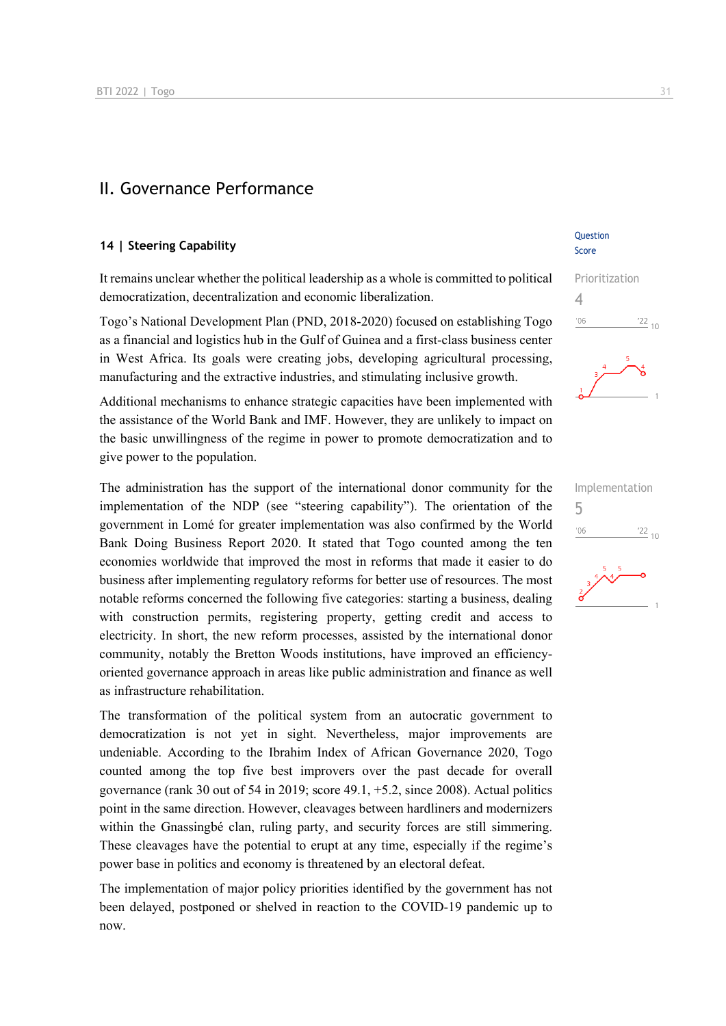### II. Governance Performance

#### **14 | Steering Capability**

It remains unclear whether the political leadership as a whole is committed to political democratization, decentralization and economic liberalization.

Togo's National Development Plan (PND, 2018-2020) focused on establishing Togo as a financial and logistics hub in the Gulf of Guinea and a first-class business center in West Africa. Its goals were creating jobs, developing agricultural processing, manufacturing and the extractive industries, and stimulating inclusive growth.

Additional mechanisms to enhance strategic capacities have been implemented with the assistance of the World Bank and IMF. However, they are unlikely to impact on the basic unwillingness of the regime in power to promote democratization and to give power to the population.

The administration has the support of the international donor community for the implementation of the NDP (see "steering capability"). The orientation of the government in Lomé for greater implementation was also confirmed by the World Bank Doing Business Report 2020. It stated that Togo counted among the ten economies worldwide that improved the most in reforms that made it easier to do business after implementing regulatory reforms for better use of resources. The most notable reforms concerned the following five categories: starting a business, dealing with construction permits, registering property, getting credit and access to electricity. In short, the new reform processes, assisted by the international donor community, notably the Bretton Woods institutions, have improved an efficiencyoriented governance approach in areas like public administration and finance as well as infrastructure rehabilitation.

The transformation of the political system from an autocratic government to democratization is not yet in sight. Nevertheless, major improvements are undeniable. According to the Ibrahim Index of African Governance 2020, Togo counted among the top five best improvers over the past decade for overall governance (rank 30 out of 54 in 2019; score 49.1, +5.2, since 2008). Actual politics point in the same direction. However, cleavages between hardliners and modernizers within the Gnassingbé clan, ruling party, and security forces are still simmering. These cleavages have the potential to erupt at any time, especially if the regime's power base in politics and economy is threatened by an electoral defeat.

The implementation of major policy priorities identified by the government has not been delayed, postponed or shelved in reaction to the COVID-19 pandemic up to now.

#### Question Score

## Prioritization 4  $\frac{22}{10}$  $-06$



| Implementation |             |
|----------------|-------------|
| '06            | $^{'}22$ 10 |
| $\frac{2}{5}$  |             |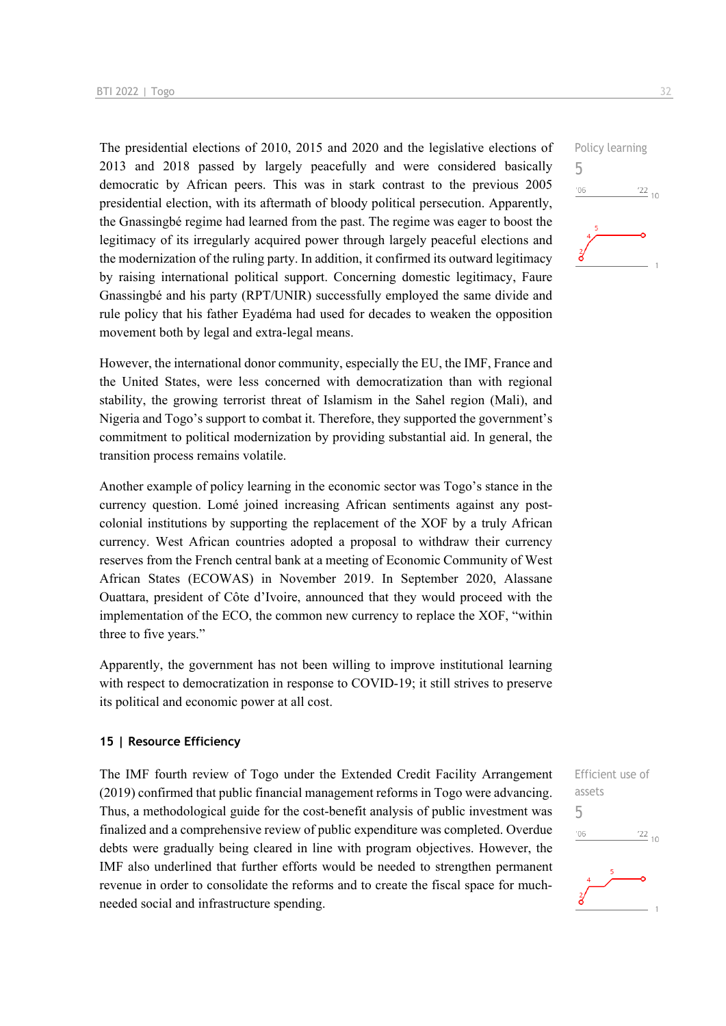The presidential elections of 2010, 2015 and 2020 and the legislative elections of 2013 and 2018 passed by largely peacefully and were considered basically democratic by African peers. This was in stark contrast to the previous 2005 presidential election, with its aftermath of bloody political persecution. Apparently, the Gnassingbé regime had learned from the past. The regime was eager to boost the legitimacy of its irregularly acquired power through largely peaceful elections and the modernization of the ruling party. In addition, it confirmed its outward legitimacy by raising international political support. Concerning domestic legitimacy, Faure Gnassingbé and his party (RPT/UNIR) successfully employed the same divide and rule policy that his father Eyadéma had used for decades to weaken the opposition movement both by legal and extra-legal means.

However, the international donor community, especially the EU, the IMF, France and the United States, were less concerned with democratization than with regional stability, the growing terrorist threat of Islamism in the Sahel region (Mali), and Nigeria and Togo's support to combat it. Therefore, they supported the government's commitment to political modernization by providing substantial aid. In general, the transition process remains volatile.

Another example of policy learning in the economic sector was Togo's stance in the currency question. Lomé joined increasing African sentiments against any postcolonial institutions by supporting the replacement of the XOF by a truly African currency. West African countries adopted a proposal to withdraw their currency reserves from the French central bank at a meeting of Economic Community of West African States (ECOWAS) in November 2019. In September 2020, Alassane Ouattara, president of Côte d'Ivoire, announced that they would proceed with the implementation of the ECO, the common new currency to replace the XOF, "within three to five years."

Apparently, the government has not been willing to improve institutional learning with respect to democratization in response to COVID-19; it still strives to preserve its political and economic power at all cost.

#### **15 | Resource Efficiency**

The IMF fourth review of Togo under the Extended Credit Facility Arrangement (2019) confirmed that public financial management reforms in Togo were advancing. Thus, a methodological guide for the cost-benefit analysis of public investment was finalized and a comprehensive review of public expenditure was completed. Overdue debts were gradually being cleared in line with program objectives. However, the IMF also underlined that further efforts would be needed to strengthen permanent revenue in order to consolidate the reforms and to create the fiscal space for muchneeded social and infrastructure spending.



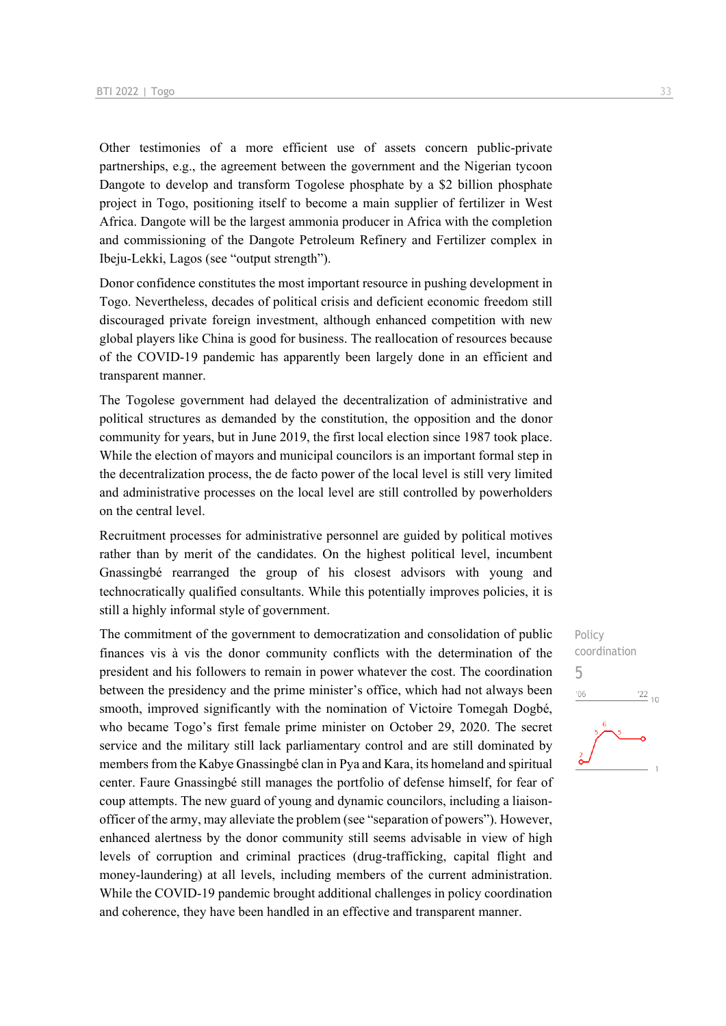Other testimonies of a more efficient use of assets concern public-private partnerships, e.g., the agreement between the government and the Nigerian tycoon Dangote to develop and transform Togolese phosphate by a \$2 billion phosphate project in Togo, positioning itself to become a main supplier of fertilizer in West Africa. Dangote will be the largest ammonia producer in Africa with the completion and commissioning of the Dangote Petroleum Refinery and Fertilizer complex in Ibeju-Lekki, Lagos (see "output strength").

Donor confidence constitutes the most important resource in pushing development in Togo. Nevertheless, decades of political crisis and deficient economic freedom still discouraged private foreign investment, although enhanced competition with new global players like China is good for business. The reallocation of resources because of the COVID-19 pandemic has apparently been largely done in an efficient and transparent manner.

The Togolese government had delayed the decentralization of administrative and political structures as demanded by the constitution, the opposition and the donor community for years, but in June 2019, the first local election since 1987 took place. While the election of mayors and municipal councilors is an important formal step in the decentralization process, the de facto power of the local level is still very limited and administrative processes on the local level are still controlled by powerholders on the central level.

Recruitment processes for administrative personnel are guided by political motives rather than by merit of the candidates. On the highest political level, incumbent Gnassingbé rearranged the group of his closest advisors with young and technocratically qualified consultants. While this potentially improves policies, it is still a highly informal style of government.

The commitment of the government to democratization and consolidation of public finances vis à vis the donor community conflicts with the determination of the president and his followers to remain in power whatever the cost. The coordination between the presidency and the prime minister's office, which had not always been smooth, improved significantly with the nomination of Victoire Tomegah Dogbé, who became Togo's first female prime minister on October 29, 2020. The secret service and the military still lack parliamentary control and are still dominated by members from the Kabye Gnassingbé clan in Pya and Kara, its homeland and spiritual center. Faure Gnassingbé still manages the portfolio of defense himself, for fear of coup attempts. The new guard of young and dynamic councilors, including a liaisonofficer of the army, may alleviate the problem (see "separation of powers"). However, enhanced alertness by the donor community still seems advisable in view of high levels of corruption and criminal practices (drug-trafficking, capital flight and money-laundering) at all levels, including members of the current administration. While the COVID-19 pandemic brought additional challenges in policy coordination and coherence, they have been handled in an effective and transparent manner.



Policy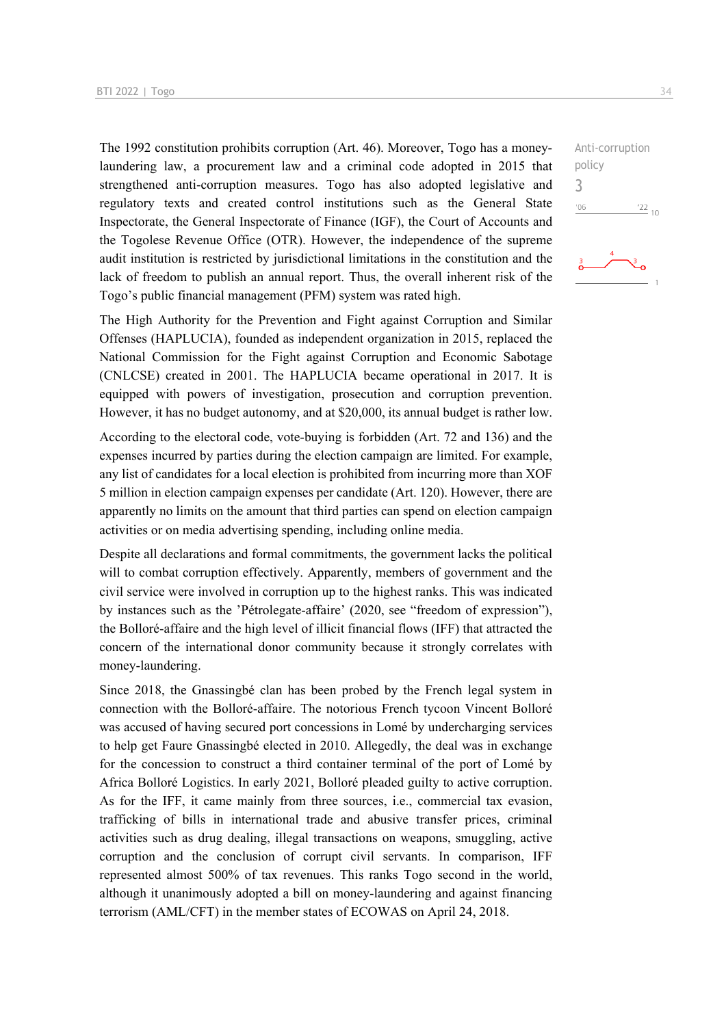The 1992 constitution prohibits corruption (Art. 46). Moreover, Togo has a moneylaundering law, a procurement law and a criminal code adopted in 2015 that strengthened anti-corruption measures. Togo has also adopted legislative and regulatory texts and created control institutions such as the General State Inspectorate, the General Inspectorate of Finance (IGF), the Court of Accounts and the Togolese Revenue Office (OTR). However, the independence of the supreme audit institution is restricted by jurisdictional limitations in the constitution and the lack of freedom to publish an annual report. Thus, the overall inherent risk of the Togo's public financial management (PFM) system was rated high.

The High Authority for the Prevention and Fight against Corruption and Similar Offenses (HAPLUCIA), founded as independent organization in 2015, replaced the National Commission for the Fight against Corruption and Economic Sabotage (CNLCSE) created in 2001. The HAPLUCIA became operational in 2017. It is equipped with powers of investigation, prosecution and corruption prevention. However, it has no budget autonomy, and at \$20,000, its annual budget is rather low.

According to the electoral code, vote-buying is forbidden (Art. 72 and 136) and the expenses incurred by parties during the election campaign are limited. For example, any list of candidates for a local election is prohibited from incurring more than XOF 5 million in election campaign expenses per candidate (Art. 120). However, there are apparently no limits on the amount that third parties can spend on election campaign activities or on media advertising spending, including online media.

Despite all declarations and formal commitments, the government lacks the political will to combat corruption effectively. Apparently, members of government and the civil service were involved in corruption up to the highest ranks. This was indicated by instances such as the 'Pétrolegate-affaire' (2020, see "freedom of expression"), the Bolloré-affaire and the high level of illicit financial flows (IFF) that attracted the concern of the international donor community because it strongly correlates with money-laundering.

Since 2018, the Gnassingbé clan has been probed by the French legal system in connection with the Bolloré-affaire. The notorious French tycoon Vincent Bolloré was accused of having secured port concessions in Lomé by undercharging services to help get Faure Gnassingbé elected in 2010. Allegedly, the deal was in exchange for the concession to construct a third container terminal of the port of Lomé by Africa Bolloré Logistics. In early 2021, Bolloré pleaded guilty to active corruption. As for the IFF, it came mainly from three sources, i.e., commercial tax evasion, trafficking of bills in international trade and abusive transfer prices, criminal activities such as drug dealing, illegal transactions on weapons, smuggling, active corruption and the conclusion of corrupt civil servants. In comparison, IFF represented almost 500% of tax revenues. This ranks Togo second in the world, although it unanimously adopted a bill on money-laundering and against financing terrorism (AML/CFT) in the member states of ECOWAS on April 24, 2018.

 $\frac{22}{10}$ 

Anti-corruption

policy 3 $^{\prime}06$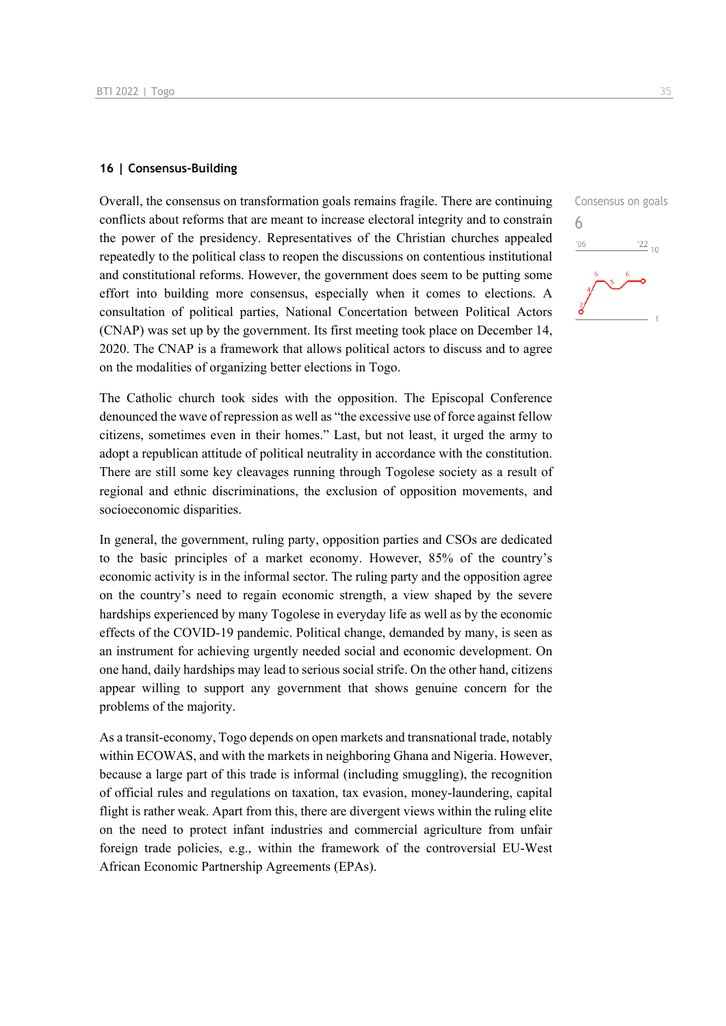#### **16 | Consensus-Building**

Overall, the consensus on transformation goals remains fragile. There are continuing conflicts about reforms that are meant to increase electoral integrity and to constrain the power of the presidency. Representatives of the Christian churches appealed repeatedly to the political class to reopen the discussions on contentious institutional and constitutional reforms. However, the government does seem to be putting some effort into building more consensus, especially when it comes to elections. A consultation of political parties, National Concertation between Political Actors (CNAP) was set up by the government. Its first meeting took place on December 14, 2020. The CNAP is a framework that allows political actors to discuss and to agree on the modalities of organizing better elections in Togo.

The Catholic church took sides with the opposition. The Episcopal Conference denounced the wave of repression as well as "the excessive use of force against fellow citizens, sometimes even in their homes." Last, but not least, it urged the army to adopt a republican attitude of political neutrality in accordance with the constitution. There are still some key cleavages running through Togolese society as a result of regional and ethnic discriminations, the exclusion of opposition movements, and socioeconomic disparities.

In general, the government, ruling party, opposition parties and CSOs are dedicated to the basic principles of a market economy. However, 85% of the country's economic activity is in the informal sector. The ruling party and the opposition agree on the country's need to regain economic strength, a view shaped by the severe hardships experienced by many Togolese in everyday life as well as by the economic effects of the COVID-19 pandemic. Political change, demanded by many, is seen as an instrument for achieving urgently needed social and economic development. On one hand, daily hardships may lead to serious social strife. On the other hand, citizens appear willing to support any government that shows genuine concern for the problems of the majority.

As a transit-economy, Togo depends on open markets and transnational trade, notably within ECOWAS, and with the markets in neighboring Ghana and Nigeria. However, because a large part of this trade is informal (including smuggling), the recognition of official rules and regulations on taxation, tax evasion, money-laundering, capital flight is rather weak. Apart from this, there are divergent views within the ruling elite on the need to protect infant industries and commercial agriculture from unfair foreign trade policies, e.g., within the framework of the controversial EU-West African Economic Partnership Agreements (EPAs).

6 $'06$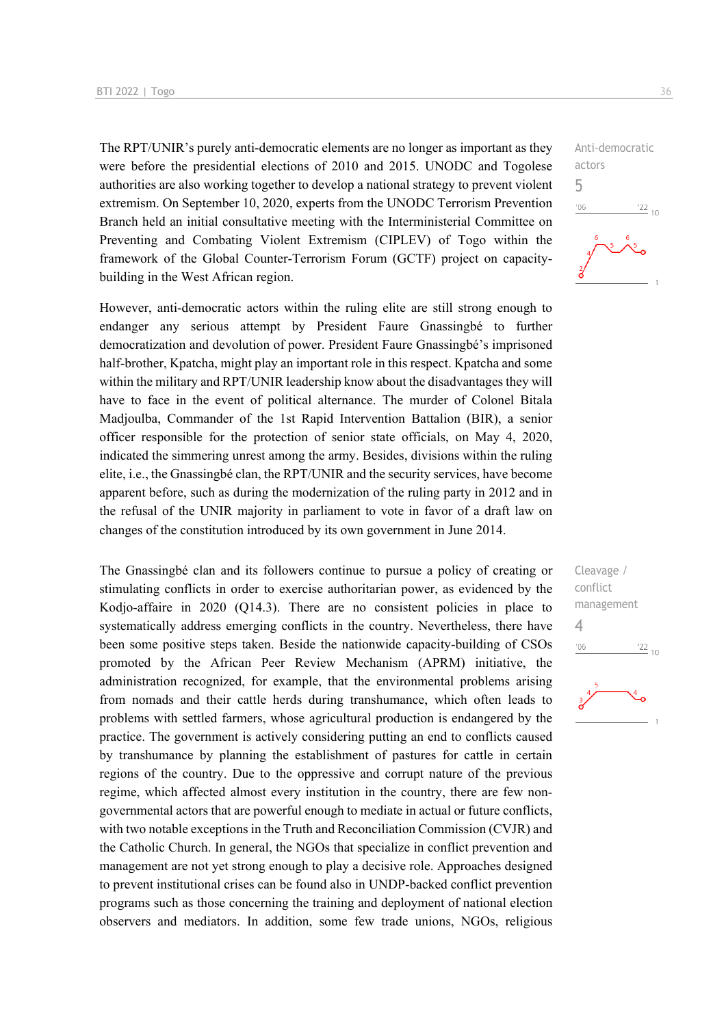The RPT/UNIR's purely anti-democratic elements are no longer as important as they were before the presidential elections of 2010 and 2015. UNODC and Togolese authorities are also working together to develop a national strategy to prevent violent extremism. On September 10, 2020, experts from the UNODC Terrorism Prevention Branch held an initial consultative meeting with the Interministerial Committee on Preventing and Combating Violent Extremism (CIPLEV) of Togo within the framework of the Global Counter-Terrorism Forum (GCTF) project on capacitybuilding in the West African region.

However, anti-democratic actors within the ruling elite are still strong enough to endanger any serious attempt by President Faure Gnassingbé to further democratization and devolution of power. President Faure Gnassingbé's imprisoned half-brother, Kpatcha, might play an important role in this respect. Kpatcha and some within the military and RPT/UNIR leadership know about the disadvantages they will have to face in the event of political alternance. The murder of Colonel Bitala Madjoulba, Commander of the 1st Rapid Intervention Battalion (BIR), a senior officer responsible for the protection of senior state officials, on May 4, 2020, indicated the simmering unrest among the army. Besides, divisions within the ruling elite, i.e., the Gnassingbé clan, the RPT/UNIR and the security services, have become apparent before, such as during the modernization of the ruling party in 2012 and in the refusal of the UNIR majority in parliament to vote in favor of a draft law on changes of the constitution introduced by its own government in June 2014.

The Gnassingbé clan and its followers continue to pursue a policy of creating or stimulating conflicts in order to exercise authoritarian power, as evidenced by the Kodjo-affaire in 2020 (Q14.3). There are no consistent policies in place to systematically address emerging conflicts in the country. Nevertheless, there have been some positive steps taken. Beside the nationwide capacity-building of CSOs promoted by the African Peer Review Mechanism (APRM) initiative, the administration recognized, for example, that the environmental problems arising from nomads and their cattle herds during transhumance, which often leads to problems with settled farmers, whose agricultural production is endangered by the practice. The government is actively considering putting an end to conflicts caused by transhumance by planning the establishment of pastures for cattle in certain regions of the country. Due to the oppressive and corrupt nature of the previous regime, which affected almost every institution in the country, there are few nongovernmental actors that are powerful enough to mediate in actual or future conflicts, with two notable exceptions in the Truth and Reconciliation Commission (CVJR) and the Catholic Church. In general, the NGOs that specialize in conflict prevention and management are not yet strong enough to play a decisive role. Approaches designed to prevent institutional crises can be found also in UNDP-backed conflict prevention programs such as those concerning the training and deployment of national election observers and mediators. In addition, some few trade unions, NGOs, religious

Anti-democratic actors 5  $-06$  $\frac{22}{10}$ 

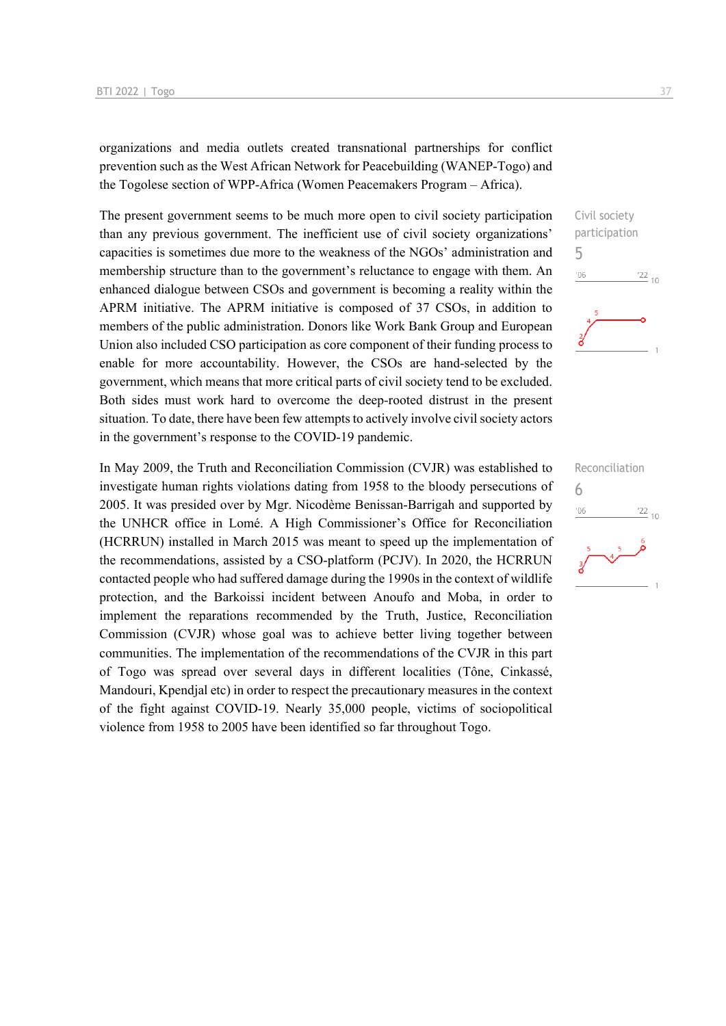organizations and media outlets created transnational partnerships for conflict prevention such as the West African Network for Peacebuilding (WANEP-Togo) and the Togolese section of WPP-Africa (Women Peacemakers Program – Africa).

The present government seems to be much more open to civil society participation than any previous government. The inefficient use of civil society organizations' capacities is sometimes due more to the weakness of the NGOs' administration and membership structure than to the government's reluctance to engage with them. An enhanced dialogue between CSOs and government is becoming a reality within the APRM initiative. The APRM initiative is composed of 37 CSOs, in addition to members of the public administration. Donors like Work Bank Group and European Union also included CSO participation as core component of their funding process to enable for more accountability. However, the CSOs are hand-selected by the government, which means that more critical parts of civil society tend to be excluded. Both sides must work hard to overcome the deep-rooted distrust in the present situation. To date, there have been few attempts to actively involve civil society actors in the government's response to the COVID-19 pandemic.

In May 2009, the Truth and Reconciliation Commission (CVJR) was established to investigate human rights violations dating from 1958 to the bloody persecutions of 2005. It was presided over by Mgr. Nicodème Benissan-Barrigah and supported by the UNHCR office in Lomé. A High Commissioner's Office for Reconciliation (HCRRUN) installed in March 2015 was meant to speed up the implementation of the recommendations, assisted by a CSO-platform (PCJV). In 2020, the HCRRUN contacted people who had suffered damage during the 1990s in the context of wildlife protection, and the Barkoissi incident between Anoufo and Moba, in order to implement the reparations recommended by the Truth, Justice, Reconciliation Commission (CVJR) whose goal was to achieve better living together between communities. The implementation of the recommendations of the CVJR in this part of Togo was spread over several days in different localities (Tône, Cinkassé, Mandouri, Kpendjal etc) in order to respect the precautionary measures in the context of the fight against COVID-19. Nearly 35,000 people, victims of sociopolitical violence from 1958 to 2005 have been identified so far throughout Togo.



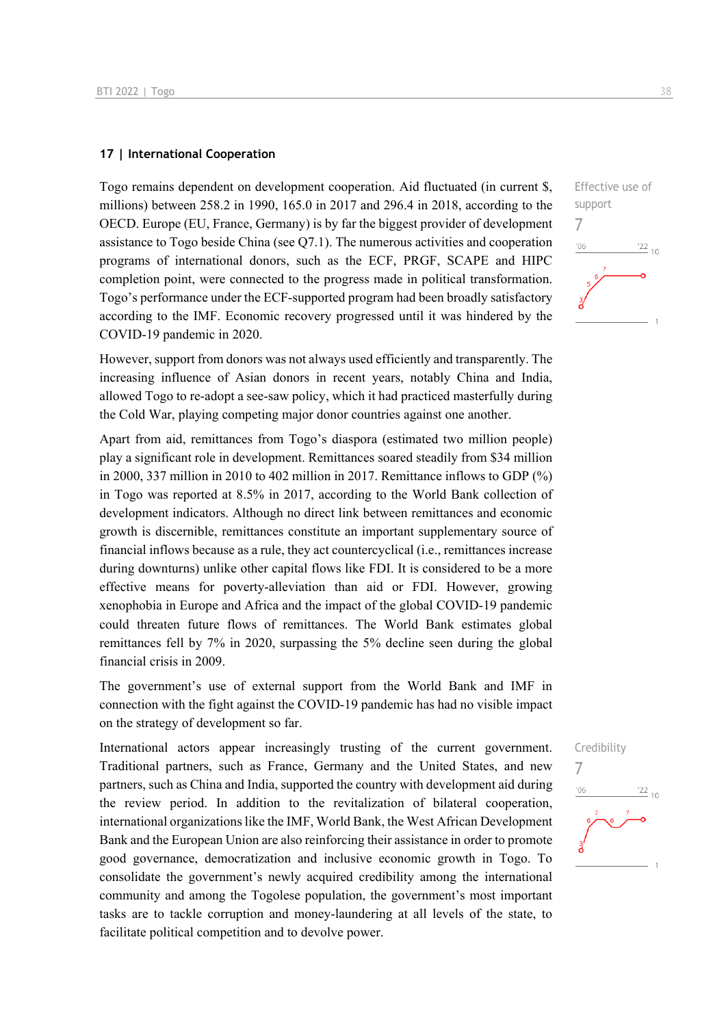#### **17 | International Cooperation**

Togo remains dependent on development cooperation. Aid fluctuated (in current \$, millions) between 258.2 in 1990, 165.0 in 2017 and 296.4 in 2018, according to the OECD. Europe (EU, France, Germany) is by far the biggest provider of development assistance to Togo beside China (see Q7.1). The numerous activities and cooperation programs of international donors, such as the ECF, PRGF, SCAPE and HIPC completion point, were connected to the progress made in political transformation. Togo's performance under the ECF-supported program had been broadly satisfactory according to the IMF. Economic recovery progressed until it was hindered by the COVID-19 pandemic in 2020.

However, support from donors was not always used efficiently and transparently. The increasing influence of Asian donors in recent years, notably China and India, allowed Togo to re-adopt a see-saw policy, which it had practiced masterfully during the Cold War, playing competing major donor countries against one another.

Apart from aid, remittances from Togo's diaspora (estimated two million people) play a significant role in development. Remittances soared steadily from \$34 million in 2000, 337 million in 2010 to 402 million in 2017. Remittance inflows to GDP (%) in Togo was reported at 8.5% in 2017, according to the World Bank collection of development indicators. Although no direct link between remittances and economic growth is discernible, remittances constitute an important supplementary source of financial inflows because as a rule, they act countercyclical (i.e., remittances increase during downturns) unlike other capital flows like FDI. It is considered to be a more effective means for poverty-alleviation than aid or FDI. However, growing xenophobia in Europe and Africa and the impact of the global COVID-19 pandemic could threaten future flows of remittances. The World Bank estimates global remittances fell by 7% in 2020, surpassing the 5% decline seen during the global financial crisis in 2009.

The government's use of external support from the World Bank and IMF in connection with the fight against the COVID-19 pandemic has had no visible impact on the strategy of development so far.

International actors appear increasingly trusting of the current government. Traditional partners, such as France, Germany and the United States, and new partners, such as China and India, supported the country with development aid during the review period. In addition to the revitalization of bilateral cooperation, international organizations like the IMF, World Bank, the West African Development Bank and the European Union are also reinforcing their assistance in order to promote good governance, democratization and inclusive economic growth in Togo. To consolidate the government's newly acquired credibility among the international community and among the Togolese population, the government's most important tasks are to tackle corruption and money-laundering at all levels of the state, to facilitate political competition and to devolve power.



## Credibility 7 $^{22}$  10  $-06$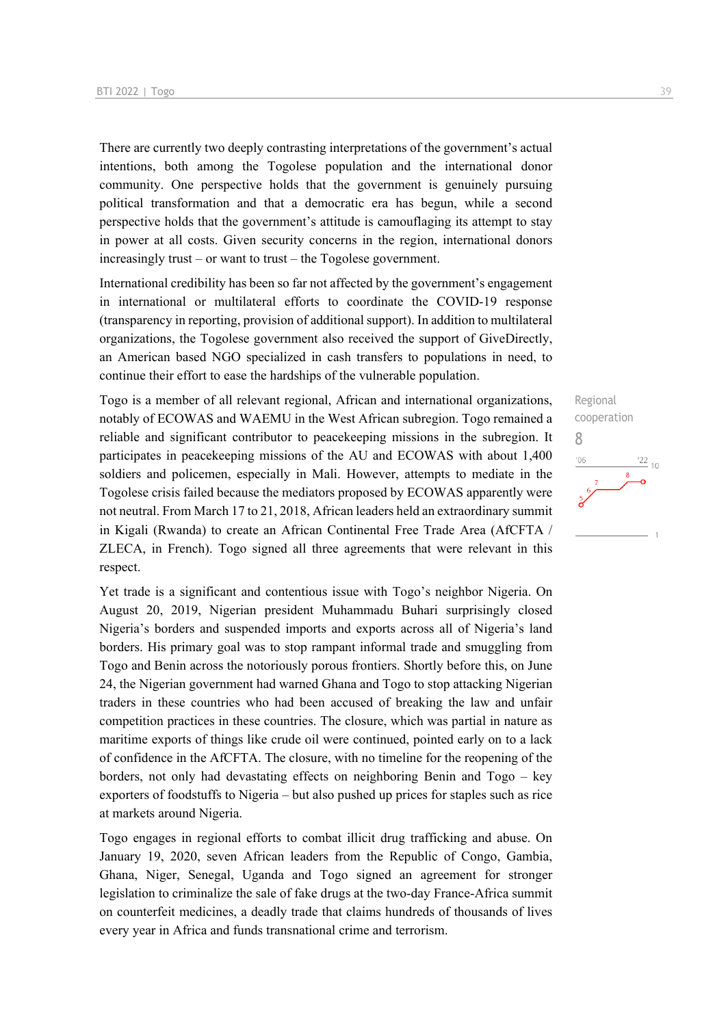There are currently two deeply contrasting interpretations of the government's actual intentions, both among the Togolese population and the international donor community. One perspective holds that the government is genuinely pursuing political transformation and that a democratic era has begun, while a second perspective holds that the government's attitude is camouflaging its attempt to stay in power at all costs. Given security concerns in the region, international donors increasingly trust – or want to trust – the Togolese government.

International credibility has been so far not affected by the government's engagement in international or multilateral efforts to coordinate the COVID-19 response (transparency in reporting, provision of additional support). In addition to multilateral organizations, the Togolese government also received the support of GiveDirectly, an American based NGO specialized in cash transfers to populations in need, to continue their effort to ease the hardships of the vulnerable population.

Togo is a member of all relevant regional, African and international organizations, notably of ECOWAS and WAEMU in the West African subregion. Togo remained a reliable and significant contributor to peacekeeping missions in the subregion. It participates in peacekeeping missions of the AU and ECOWAS with about 1,400 soldiers and policemen, especially in Mali. However, attempts to mediate in the Togolese crisis failed because the mediators proposed by ECOWAS apparently were not neutral. From March 17 to 21, 2018, African leaders held an extraordinary summit in Kigali (Rwanda) to create an African Continental Free Trade Area (AfCFTA / ZLECA, in French). Togo signed all three agreements that were relevant in this respect.

Yet trade is a significant and contentious issue with Togo's neighbor Nigeria. On August 20, 2019, Nigerian president Muhammadu Buhari surprisingly closed Nigeria's borders and suspended imports and exports across all of Nigeria's land borders. His primary goal was to stop rampant informal trade and smuggling from Togo and Benin across the notoriously porous frontiers. Shortly before this, on June 24, the Nigerian government had warned Ghana and Togo to stop attacking Nigerian traders in these countries who had been accused of breaking the law and unfair competition practices in these countries. The closure, which was partial in nature as maritime exports of things like crude oil were continued, pointed early on to a lack of confidence in the AfCFTA. The closure, with no timeline for the reopening of the borders, not only had devastating effects on neighboring Benin and Togo – key exporters of foodstuffs to Nigeria – but also pushed up prices for staples such as rice at markets around Nigeria.

Togo engages in regional efforts to combat illicit drug trafficking and abuse. On January 19, 2020, seven African leaders from the Republic of Congo, Gambia, Ghana, Niger, Senegal, Uganda and Togo signed an agreement for stronger legislation to criminalize the sale of fake drugs at the two-day France-Africa summit on counterfeit medicines, a deadly trade that claims hundreds of thousands of lives every year in Africa and funds transnational crime and terrorism.